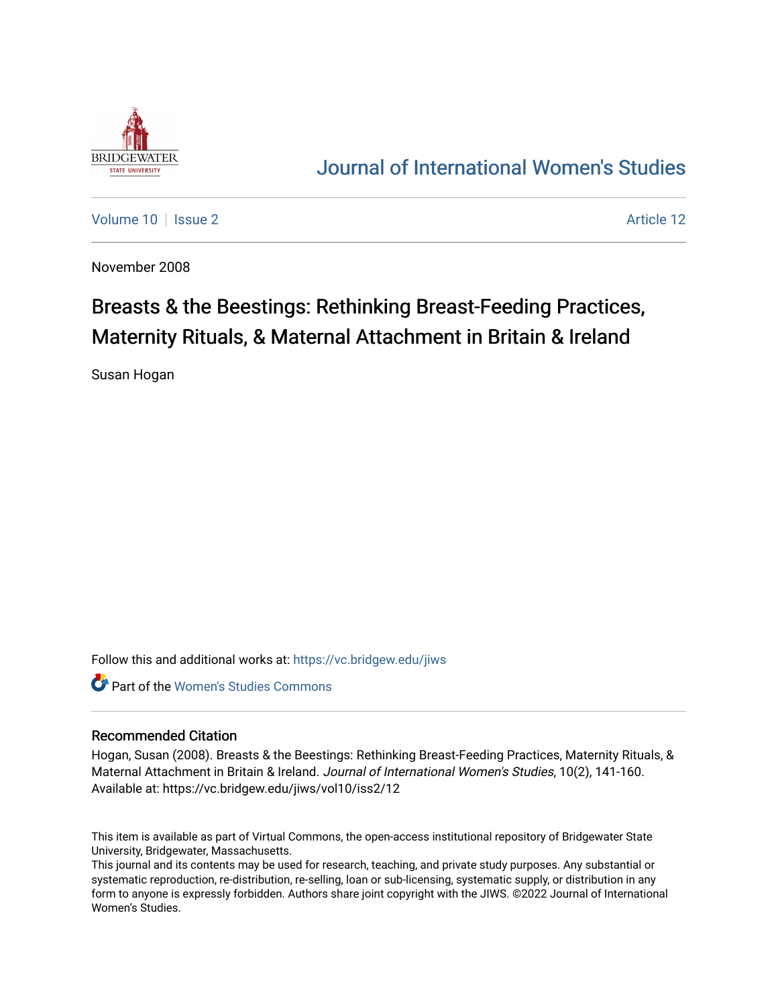

## [Journal of International Women's Studies](https://vc.bridgew.edu/jiws)

[Volume 10](https://vc.bridgew.edu/jiws/vol10) | [Issue 2](https://vc.bridgew.edu/jiws/vol10/iss2) Article 12

November 2008

# Breasts & the Beestings: Rethinking Breast-Feeding Practices, Maternity Rituals, & Maternal Attachment in Britain & Ireland

Susan Hogan

Follow this and additional works at: [https://vc.bridgew.edu/jiws](https://vc.bridgew.edu/jiws?utm_source=vc.bridgew.edu%2Fjiws%2Fvol10%2Fiss2%2F12&utm_medium=PDF&utm_campaign=PDFCoverPages)

**C** Part of the Women's Studies Commons

#### Recommended Citation

Hogan, Susan (2008). Breasts & the Beestings: Rethinking Breast-Feeding Practices, Maternity Rituals, & Maternal Attachment in Britain & Ireland. Journal of International Women's Studies, 10(2), 141-160. Available at: https://vc.bridgew.edu/jiws/vol10/iss2/12

This item is available as part of Virtual Commons, the open-access institutional repository of Bridgewater State University, Bridgewater, Massachusetts.

This journal and its contents may be used for research, teaching, and private study purposes. Any substantial or systematic reproduction, re-distribution, re-selling, loan or sub-licensing, systematic supply, or distribution in any form to anyone is expressly forbidden. Authors share joint copyright with the JIWS. ©2022 Journal of International Women's Studies.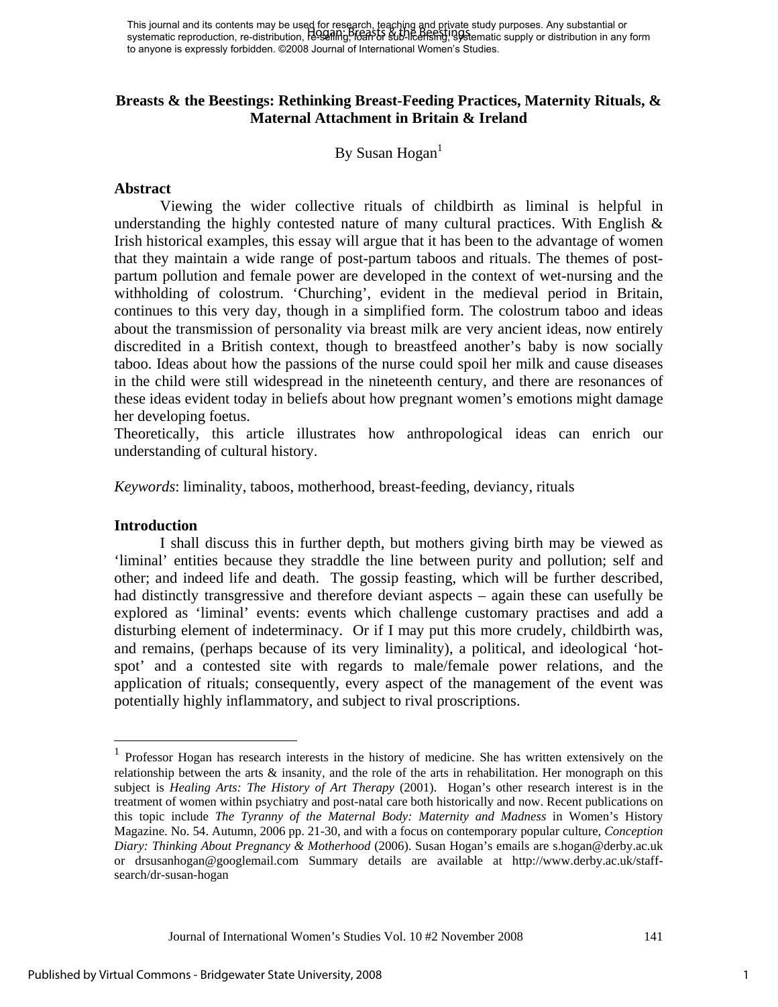This journal and its contents may be used for research, teaching and private study purposes. Any substantial or This journal and its contents may be used for research, requiring the effect study purposes. Any substantial or<br>systematic reproduction, re-distribution, research Stephen Sub-licensing, 89 Stematic supply or distribution i to anyone is expressly forbidden. ©2008 Journal of International Women's Studies.

#### **Breasts & the Beestings: Rethinking Breast-Feeding Practices, Maternity Rituals, & Maternal Attachment in Britain & Ireland**

By Susan  $Hogan<sup>1</sup>$ 

#### **Abstract**

Viewing the wider collective rituals of childbirth as liminal is helpful in understanding the highly contested nature of many cultural practices. With English  $\&$ Irish historical examples, this essay will argue that it has been to the advantage of women that they maintain a wide range of post-partum taboos and rituals. The themes of postpartum pollution and female power are developed in the context of wet-nursing and the withholding of colostrum. 'Churching', evident in the medieval period in Britain, continues to this very day, though in a simplified form. The colostrum taboo and ideas about the transmission of personality via breast milk are very ancient ideas, now entirely discredited in a British context, though to breastfeed another's baby is now socially taboo. Ideas about how the passions of the nurse could spoil her milk and cause diseases in the child were still widespread in the nineteenth century, and there are resonances of these ideas evident today in beliefs about how pregnant women's emotions might damage her developing foetus.

Theoretically, this article illustrates how anthropological ideas can enrich our understanding of cultural history.

*Keywords*: liminality, taboos, motherhood, breast-feeding, deviancy, rituals

#### **Introduction**

<u>.</u>

 I shall discuss this in further depth, but mothers giving birth may be viewed as 'liminal' entities because they straddle the line between purity and pollution; self and other; and indeed life and death. The gossip feasting, which will be further described, had distinctly transgressive and therefore deviant aspects – again these can usefully be explored as 'liminal' events: events which challenge customary practises and add a disturbing element of indeterminacy. Or if I may put this more crudely, childbirth was, and remains, (perhaps because of its very liminality), a political, and ideological 'hotspot' and a contested site with regards to male/female power relations, and the application of rituals; consequently, every aspect of the management of the event was potentially highly inflammatory, and subject to rival proscriptions.

<sup>&</sup>lt;sup>1</sup> Professor Hogan has research interests in the history of medicine. She has written extensively on the relationship between the arts  $\&$  insanity, and the role of the arts in rehabilitation. Her monograph on this subject is *Healing Arts: The History of Art Therapy* (2001). Hogan's other research interest is in the treatment of women within psychiatry and post-natal care both historically and now. Recent publications on this topic include *The Tyranny of the Maternal Body: Maternity and Madness* in Women's History Magazine. No. 54. Autumn, 2006 pp. 21-30, and with a focus on contemporary popular culture, *Conception Diary: Thinking About Pregnancy & Motherhood* (2006). Susan Hogan's emails are s.hogan@derby.ac.uk or drsusanhogan@googlemail.com Summary details are available at http://www.derby.ac.uk/staffsearch/dr-susan-hogan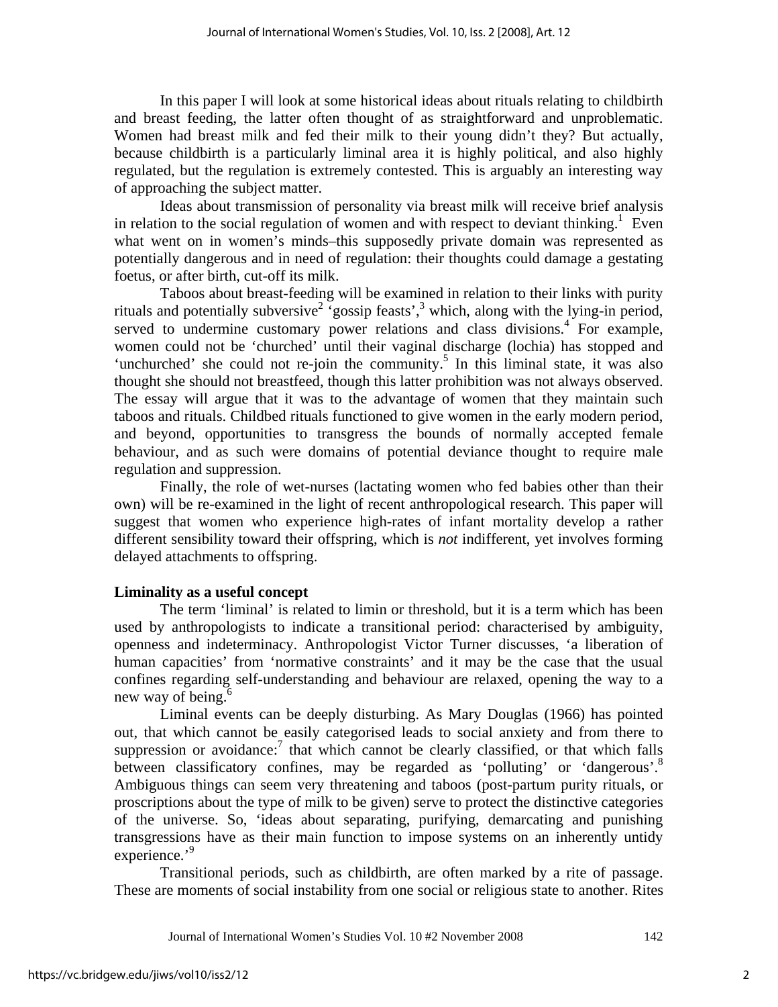In this paper I will look at some historical ideas about rituals relating to childbirth and breast feeding, the latter often thought of as straightforward and unproblematic. Women had breast milk and fed their milk to their young didn't they? But actually, because childbirth is a particularly liminal area it is highly political, and also highly regulated, but the regulation is extremely contested. This is arguably an interesting way of approaching the subject matter.

Ideas about transmission of personality via breast milk will receive brief analysis in relation to the social regulation of women and with respect to deviant thinking.<sup>1</sup> Even what went on in women's minds–this supposedly private domain was represented as potentially dangerous and in need of regulation: their thoughts could damage a gestating foetus, or after birth, cut-off its milk.

Taboos about breast-feeding will be examined in relation to their links with purity rituals and potentially subversive<sup>2</sup> gossip feasts',<sup>3</sup> which, along with the lying-in period, served to undermine customary power relations and class divisions.<sup>4</sup> For example, women could not be 'churched' until their vaginal discharge (lochia) has stopped and 'unchurched' she could not re-join the community.<sup>5</sup> In this liminal state, it was also thought she should not breastfeed, though this latter prohibition was not always observed. The essay will argue that it was to the advantage of women that they maintain such taboos and rituals. Childbed rituals functioned to give women in the early modern period, and beyond, opportunities to transgress the bounds of normally accepted female behaviour, and as such were domains of potential deviance thought to require male regulation and suppression.

Finally, the role of wet-nurses (lactating women who fed babies other than their own) will be re-examined in the light of recent anthropological research. This paper will suggest that women who experience high-rates of infant mortality develop a rather different sensibility toward their offspring, which is *not* indifferent, yet involves forming delayed attachments to offspring.

## **Liminality as a useful concept**

 The term 'liminal' is related to limin or threshold, but it is a term which has been used by anthropologists to indicate a transitional period: characterised by ambiguity, openness and indeterminacy. Anthropologist Victor Turner discusses, 'a liberation of human capacities' from 'normative constraints' and it may be the case that the usual confines regarding self-understanding and behaviour are relaxed, opening the way to a new way of being.<sup>6</sup>

Liminal events can be deeply disturbing. As Mary Douglas (1966) has pointed out, that which cannot be easily categorised leads to social anxiety and from there to suppression or avoidance:<sup>7</sup> that which cannot be clearly classified, or that which falls between classificatory confines, may be regarded as 'polluting' or 'dangerous'.<sup>8</sup> Ambiguous things can seem very threatening and taboos (post-partum purity rituals, or proscriptions about the type of milk to be given) serve to protect the distinctive categories of the universe. So, 'ideas about separating, purifying, demarcating and punishing transgressions have as their main function to impose systems on an inherently untidy experience.'<sup>9</sup>

 Transitional periods, such as childbirth, are often marked by a rite of passage. These are moments of social instability from one social or religious state to another. Rites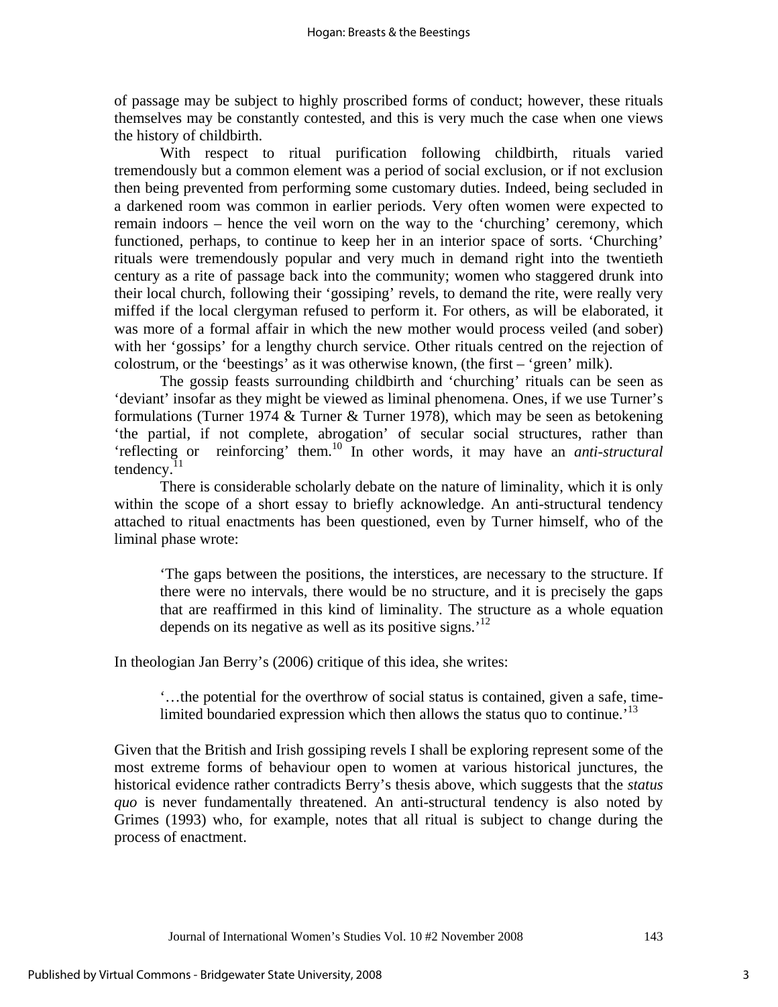of passage may be subject to highly proscribed forms of conduct; however, these rituals themselves may be constantly contested, and this is very much the case when one views the history of childbirth.

 With respect to ritual purification following childbirth, rituals varied tremendously but a common element was a period of social exclusion, or if not exclusion then being prevented from performing some customary duties. Indeed, being secluded in a darkened room was common in earlier periods. Very often women were expected to remain indoors – hence the veil worn on the way to the 'churching' ceremony, which functioned, perhaps, to continue to keep her in an interior space of sorts. 'Churching' rituals were tremendously popular and very much in demand right into the twentieth century as a rite of passage back into the community; women who staggered drunk into their local church, following their 'gossiping' revels, to demand the rite, were really very miffed if the local clergyman refused to perform it. For others, as will be elaborated, it was more of a formal affair in which the new mother would process veiled (and sober) with her 'gossips' for a lengthy church service. Other rituals centred on the rejection of colostrum, or the 'beestings' as it was otherwise known, (the first – 'green' milk).

 The gossip feasts surrounding childbirth and 'churching' rituals can be seen as 'deviant' insofar as they might be viewed as liminal phenomena. Ones, if we use Turner's formulations (Turner 1974 & Turner & Turner 1978), which may be seen as betokening 'the partial, if not complete, abrogation' of secular social structures, rather than 'reflecting or reinforcing' them.10 In other words, it may have an *anti-structural* tendency. $^{11}$ 

 There is considerable scholarly debate on the nature of liminality, which it is only within the scope of a short essay to briefly acknowledge. An anti-structural tendency attached to ritual enactments has been questioned, even by Turner himself, who of the liminal phase wrote:

'The gaps between the positions, the interstices, are necessary to the structure. If there were no intervals, there would be no structure, and it is precisely the gaps that are reaffirmed in this kind of liminality. The structure as a whole equation depends on its negative as well as its positive signs.<sup>'12</sup>

In theologian Jan Berry's (2006) critique of this idea, she writes:

'…the potential for the overthrow of social status is contained, given a safe, timelimited boundaried expression which then allows the status quo to continue.<sup>13</sup>

Given that the British and Irish gossiping revels I shall be exploring represent some of the most extreme forms of behaviour open to women at various historical junctures, the historical evidence rather contradicts Berry's thesis above, which suggests that the *status quo* is never fundamentally threatened. An anti-structural tendency is also noted by Grimes (1993) who, for example, notes that all ritual is subject to change during the process of enactment.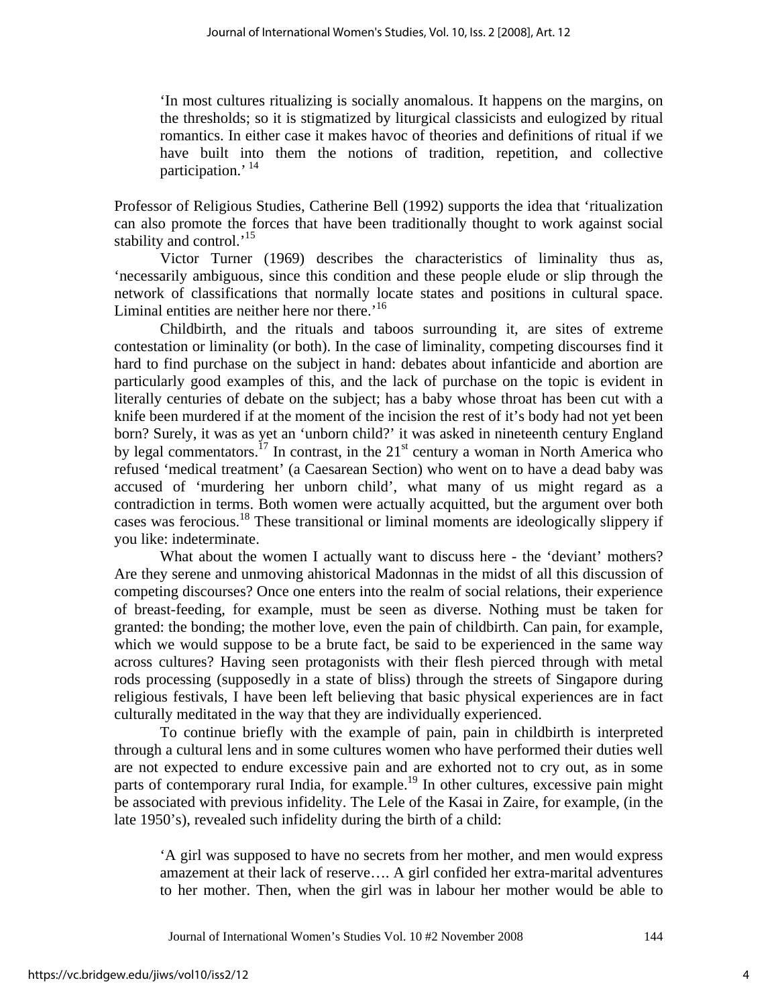'In most cultures ritualizing is socially anomalous. It happens on the margins, on the thresholds; so it is stigmatized by liturgical classicists and eulogized by ritual romantics. In either case it makes havoc of theories and definitions of ritual if we have built into them the notions of tradition, repetition, and collective participation.<sup>'14</sup>

Professor of Religious Studies, Catherine Bell (1992) supports the idea that 'ritualization can also promote the forces that have been traditionally thought to work against social stability and control.<sup>'15</sup>

 Victor Turner (1969) describes the characteristics of liminality thus as, 'necessarily ambiguous, since this condition and these people elude or slip through the network of classifications that normally locate states and positions in cultural space. Liminal entities are neither here nor there.<sup> $16$ </sup>

 Childbirth, and the rituals and taboos surrounding it, are sites of extreme contestation or liminality (or both). In the case of liminality, competing discourses find it hard to find purchase on the subject in hand: debates about infanticide and abortion are particularly good examples of this, and the lack of purchase on the topic is evident in literally centuries of debate on the subject; has a baby whose throat has been cut with a knife been murdered if at the moment of the incision the rest of it's body had not yet been born? Surely, it was as yet an 'unborn child?' it was asked in nineteenth century England by legal commentators.<sup>17</sup> In contrast, in the  $21<sup>st</sup>$  century a woman in North America who refused 'medical treatment' (a Caesarean Section) who went on to have a dead baby was accused of 'murdering her unborn child', what many of us might regard as a contradiction in terms. Both women were actually acquitted, but the argument over both cases was ferocious.18 These transitional or liminal moments are ideologically slippery if you like: indeterminate.

 What about the women I actually want to discuss here - the 'deviant' mothers? Are they serene and unmoving ahistorical Madonnas in the midst of all this discussion of competing discourses? Once one enters into the realm of social relations, their experience of breast-feeding, for example, must be seen as diverse. Nothing must be taken for granted: the bonding; the mother love, even the pain of childbirth. Can pain, for example, which we would suppose to be a brute fact, be said to be experienced in the same way across cultures? Having seen protagonists with their flesh pierced through with metal rods processing (supposedly in a state of bliss) through the streets of Singapore during religious festivals, I have been left believing that basic physical experiences are in fact culturally meditated in the way that they are individually experienced.

 To continue briefly with the example of pain, pain in childbirth is interpreted through a cultural lens and in some cultures women who have performed their duties well are not expected to endure excessive pain and are exhorted not to cry out, as in some parts of contemporary rural India, for example.<sup>19</sup> In other cultures, excessive pain might be associated with previous infidelity. The Lele of the Kasai in Zaire, for example, (in the late 1950's), revealed such infidelity during the birth of a child:

'A girl was supposed to have no secrets from her mother, and men would express amazement at their lack of reserve…. A girl confided her extra-marital adventures to her mother. Then, when the girl was in labour her mother would be able to

Journal of International Women's Studies Vol. 10 #2 November 2008 144

4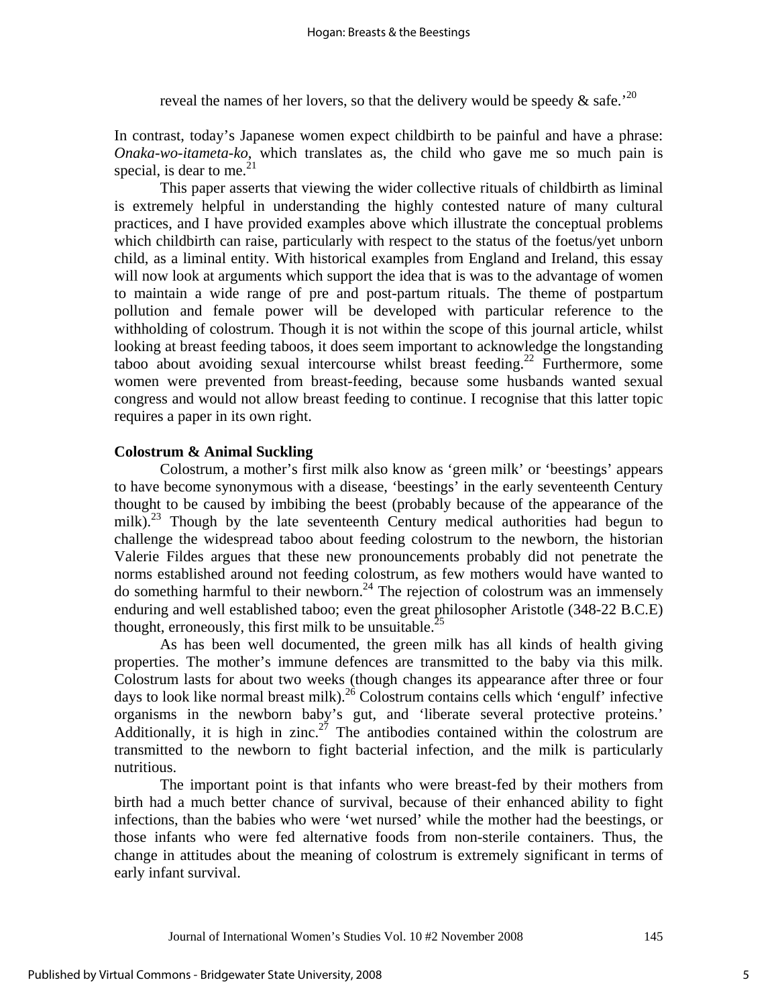reveal the names of her lovers, so that the delivery would be speedy  $\&$  safe.<sup>'20</sup>

In contrast, today's Japanese women expect childbirth to be painful and have a phrase: *Onaka-wo-itameta-ko*, which translates as, the child who gave me so much pain is special, is dear to me. $^{21}$ 

This paper asserts that viewing the wider collective rituals of childbirth as liminal is extremely helpful in understanding the highly contested nature of many cultural practices, and I have provided examples above which illustrate the conceptual problems which childbirth can raise, particularly with respect to the status of the foetus/yet unborn child, as a liminal entity. With historical examples from England and Ireland, this essay will now look at arguments which support the idea that is was to the advantage of women to maintain a wide range of pre and post-partum rituals. The theme of postpartum pollution and female power will be developed with particular reference to the withholding of colostrum. Though it is not within the scope of this journal article, whilst looking at breast feeding taboos, it does seem important to acknowledge the longstanding taboo about avoiding sexual intercourse whilst breast feeding.<sup>22</sup> Furthermore, some women were prevented from breast-feeding, because some husbands wanted sexual congress and would not allow breast feeding to continue. I recognise that this latter topic requires a paper in its own right.

#### **Colostrum & Animal Suckling**

Colostrum, a mother's first milk also know as 'green milk' or 'beestings' appears to have become synonymous with a disease, 'beestings' in the early seventeenth Century thought to be caused by imbibing the beest (probably because of the appearance of the milk).<sup>23</sup> Though by the late seventeenth Century medical authorities had begun to challenge the widespread taboo about feeding colostrum to the newborn, the historian Valerie Fildes argues that these new pronouncements probably did not penetrate the norms established around not feeding colostrum, as few mothers would have wanted to do something harmful to their newborn.<sup>24</sup> The rejection of colostrum was an immensely enduring and well established taboo; even the great philosopher Aristotle (348-22 B.C.E) thought, erroneously, this first milk to be unsuitable.<sup>25</sup>

As has been well documented, the green milk has all kinds of health giving properties. The mother's immune defences are transmitted to the baby via this milk. Colostrum lasts for about two weeks (though changes its appearance after three or four days to look like normal breast milk).<sup>26</sup> Colostrum contains cells which 'engulf' infective organisms in the newborn baby's gut, and 'liberate several protective proteins.' Additionally, it is high in zinc.<sup>27</sup> The antibodies contained within the colostrum are transmitted to the newborn to fight bacterial infection, and the milk is particularly nutritious.

The important point is that infants who were breast-fed by their mothers from birth had a much better chance of survival, because of their enhanced ability to fight infections, than the babies who were 'wet nursed' while the mother had the beestings, or those infants who were fed alternative foods from non-sterile containers. Thus, the change in attitudes about the meaning of colostrum is extremely significant in terms of early infant survival.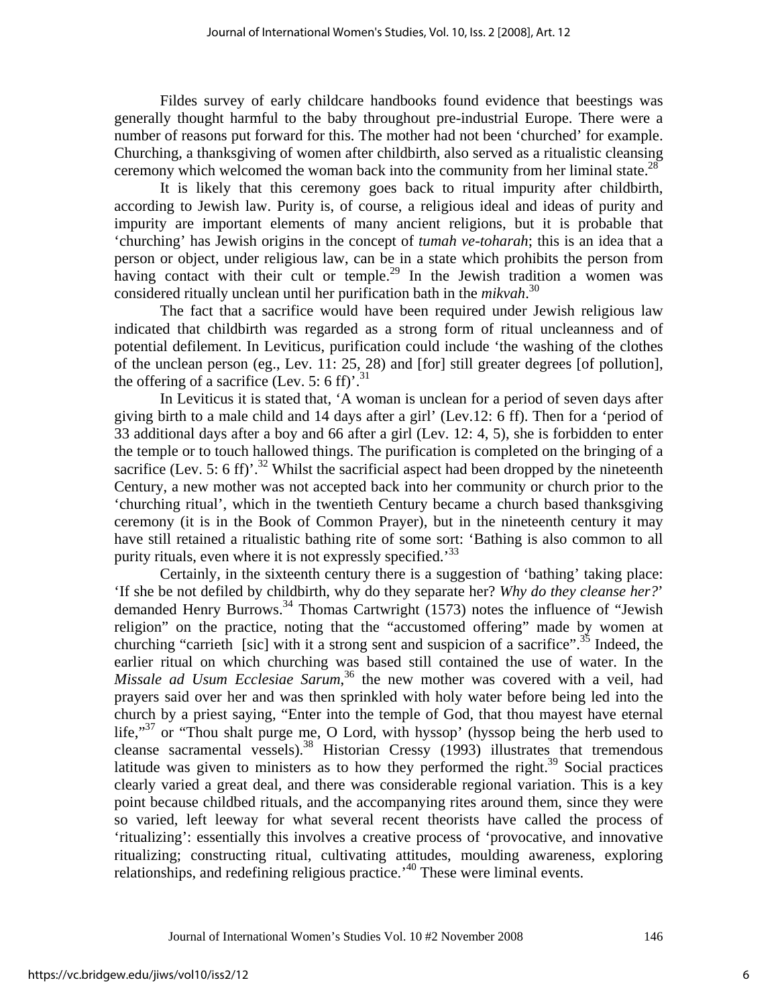Fildes survey of early childcare handbooks found evidence that beestings was generally thought harmful to the baby throughout pre-industrial Europe. There were a number of reasons put forward for this. The mother had not been 'churched' for example. Churching, a thanksgiving of women after childbirth, also served as a ritualistic cleansing ceremony which welcomed the woman back into the community from her liminal state.<sup>28</sup>

It is likely that this ceremony goes back to ritual impurity after childbirth, according to Jewish law. Purity is, of course, a religious ideal and ideas of purity and impurity are important elements of many ancient religions, but it is probable that 'churching' has Jewish origins in the concept of *tumah ve-toharah*; this is an idea that a person or object, under religious law, can be in a state which prohibits the person from having contact with their cult or temple.<sup>29</sup> In the Jewish tradition a women was considered ritually unclean until her purification bath in the *mikvah*. 30

The fact that a sacrifice would have been required under Jewish religious law indicated that childbirth was regarded as a strong form of ritual uncleanness and of potential defilement. In Leviticus, purification could include 'the washing of the clothes of the unclean person (eg., Lev. 11: 25, 28) and [for] still greater degrees [of pollution], the offering of a sacrifice (Lev. 5: 6 ff)'.<sup>31</sup>

In Leviticus it is stated that, 'A woman is unclean for a period of seven days after giving birth to a male child and 14 days after a girl' (Lev.12: 6 ff). Then for a 'period of 33 additional days after a boy and 66 after a girl (Lev. 12: 4, 5), she is forbidden to enter the temple or to touch hallowed things. The purification is completed on the bringing of a sacrifice (Lev. 5: 6 ff)<sup>2</sup>.<sup>32</sup> Whilst the sacrificial aspect had been dropped by the nineteenth Century, a new mother was not accepted back into her community or church prior to the 'churching ritual', which in the twentieth Century became a church based thanksgiving ceremony (it is in the Book of Common Prayer), but in the nineteenth century it may have still retained a ritualistic bathing rite of some sort: 'Bathing is also common to all purity rituals, even where it is not expressly specified.<sup>33</sup>

Certainly, in the sixteenth century there is a suggestion of 'bathing' taking place: 'If she be not defiled by childbirth, why do they separate her? *Why do they cleanse her?*' demanded Henry Burrows.<sup>34</sup> Thomas Cartwright  $(1573)$  notes the influence of "Jewish" religion" on the practice, noting that the "accustomed offering" made by women at churching "carrieth [sic] with it a strong sent and suspicion of a sacrifice".<sup>35</sup> Indeed, the earlier ritual on which churching was based still contained the use of water. In the *Missale ad Usum Ecclesiae Sarum*, 36 the new mother was covered with a veil, had prayers said over her and was then sprinkled with holy water before being led into the church by a priest saying, "Enter into the temple of God, that thou mayest have eternal life,"<sup>37</sup> or "Thou shalt purge me, O Lord, with hyssop' (hyssop being the herb used to cleanse sacramental vessels).<sup>38</sup> Historian Cressy (1993) illustrates that tremendous latitude was given to ministers as to how they performed the right.<sup>39</sup> Social practices clearly varied a great deal, and there was considerable regional variation. This is a key point because childbed rituals, and the accompanying rites around them, since they were so varied, left leeway for what several recent theorists have called the process of 'ritualizing': essentially this involves a creative process of 'provocative, and innovative ritualizing; constructing ritual, cultivating attitudes, moulding awareness, exploring relationships, and redefining religious practice.'40 These were liminal events.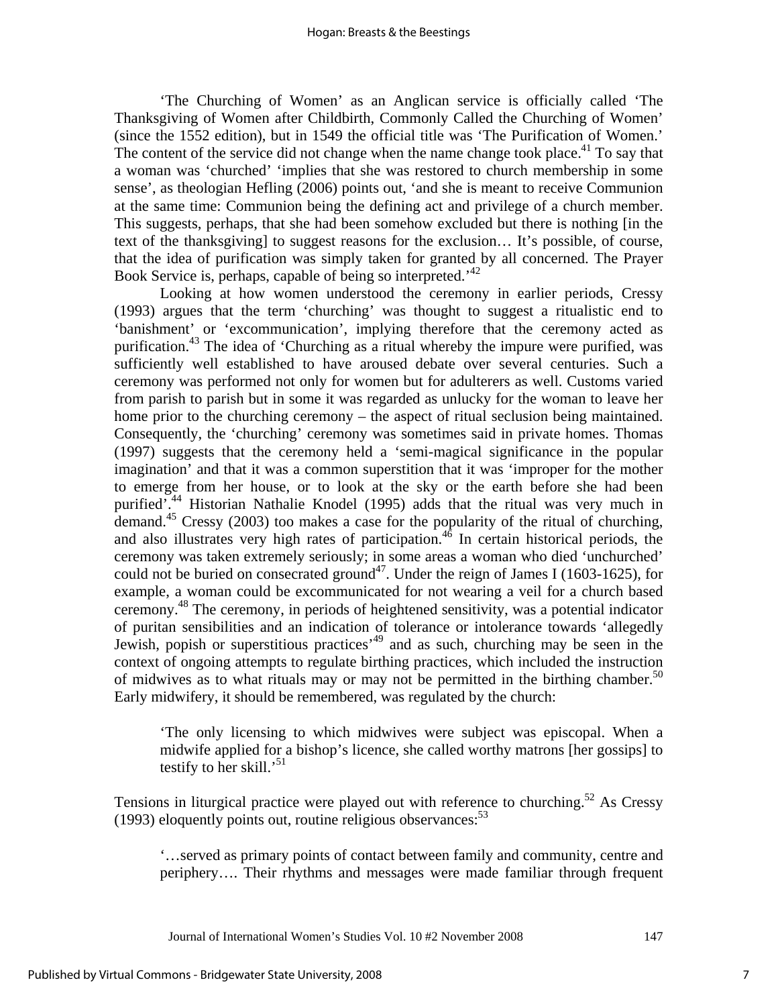'The Churching of Women' as an Anglican service is officially called 'The Thanksgiving of Women after Childbirth, Commonly Called the Churching of Women' (since the 1552 edition), but in 1549 the official title was 'The Purification of Women.' The content of the service did not change when the name change took place.<sup>41</sup> To say that a woman was 'churched' 'implies that she was restored to church membership in some sense', as theologian Hefling (2006) points out, 'and she is meant to receive Communion at the same time: Communion being the defining act and privilege of a church member. This suggests, perhaps, that she had been somehow excluded but there is nothing [in the text of the thanksgiving] to suggest reasons for the exclusion… It's possible, of course, that the idea of purification was simply taken for granted by all concerned. The Prayer Book Service is, perhaps, capable of being so interpreted.<sup>42</sup>

Looking at how women understood the ceremony in earlier periods, Cressy (1993) argues that the term 'churching' was thought to suggest a ritualistic end to 'banishment' or 'excommunication', implying therefore that the ceremony acted as purification.<sup>43</sup> The idea of 'Churching as a ritual whereby the impure were purified, was sufficiently well established to have aroused debate over several centuries. Such a ceremony was performed not only for women but for adulterers as well. Customs varied from parish to parish but in some it was regarded as unlucky for the woman to leave her home prior to the churching ceremony – the aspect of ritual seclusion being maintained. Consequently, the 'churching' ceremony was sometimes said in private homes. Thomas (1997) suggests that the ceremony held a 'semi-magical significance in the popular imagination' and that it was a common superstition that it was 'improper for the mother to emerge from her house, or to look at the sky or the earth before she had been purified'.44 Historian Nathalie Knodel (1995) adds that the ritual was very much in demand.45 Cressy (2003) too makes a case for the popularity of the ritual of churching, and also illustrates very high rates of participation.<sup>46</sup> In certain historical periods, the ceremony was taken extremely seriously; in some areas a woman who died 'unchurched' could not be buried on consecrated ground<sup>47</sup>. Under the reign of James I (1603-1625), for example, a woman could be excommunicated for not wearing a veil for a church based ceremony.48 The ceremony, in periods of heightened sensitivity, was a potential indicator of puritan sensibilities and an indication of tolerance or intolerance towards 'allegedly Jewish, popish or superstitious practices<sup>, 49</sup> and as such, churching may be seen in the context of ongoing attempts to regulate birthing practices, which included the instruction of midwives as to what rituals may or may not be permitted in the birthing chamber.<sup>50</sup> Early midwifery, it should be remembered, was regulated by the church:

'The only licensing to which midwives were subject was episcopal. When a midwife applied for a bishop's licence, she called worthy matrons [her gossips] to testify to her skill.<sup>51</sup>

Tensions in liturgical practice were played out with reference to churching.<sup>52</sup> As Cressy (1993) eloquently points out, routine religious observances:  $53$ 

'…served as primary points of contact between family and community, centre and periphery…. Their rhythms and messages were made familiar through frequent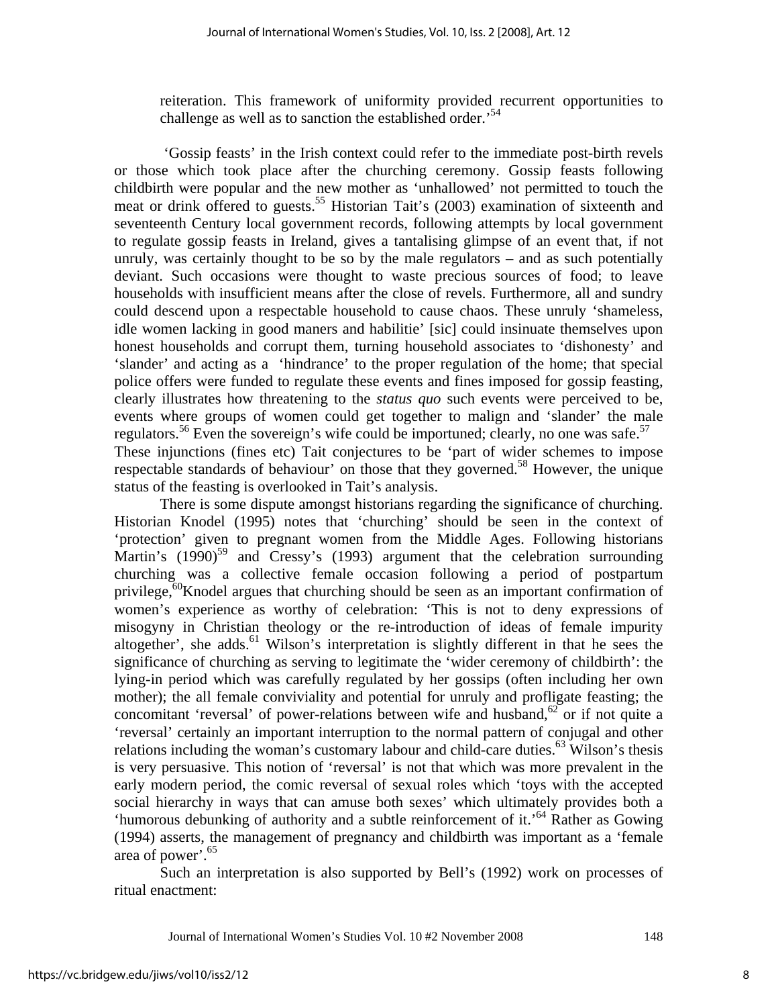reiteration. This framework of uniformity provided recurrent opportunities to challenge as well as to sanction the established order.<sup>54</sup>

 'Gossip feasts' in the Irish context could refer to the immediate post-birth revels or those which took place after the churching ceremony. Gossip feasts following childbirth were popular and the new mother as 'unhallowed' not permitted to touch the meat or drink offered to guests.<sup>55</sup> Historian Tait's (2003) examination of sixteenth and seventeenth Century local government records, following attempts by local government to regulate gossip feasts in Ireland, gives a tantalising glimpse of an event that, if not unruly, was certainly thought to be so by the male regulators – and as such potentially deviant. Such occasions were thought to waste precious sources of food; to leave households with insufficient means after the close of revels. Furthermore, all and sundry could descend upon a respectable household to cause chaos. These unruly 'shameless, idle women lacking in good maners and habilitie' [sic] could insinuate themselves upon honest households and corrupt them, turning household associates to 'dishonesty' and 'slander' and acting as a 'hindrance' to the proper regulation of the home; that special police offers were funded to regulate these events and fines imposed for gossip feasting, clearly illustrates how threatening to the *status quo* such events were perceived to be, events where groups of women could get together to malign and 'slander' the male regulators.<sup>56</sup> Even the sovereign's wife could be importuned; clearly, no one was safe.<sup>57</sup> These injunctions (fines etc) Tait conjectures to be 'part of wider schemes to impose respectable standards of behaviour' on those that they governed.<sup>58</sup> However, the unique status of the feasting is overlooked in Tait's analysis.

There is some dispute amongst historians regarding the significance of churching. Historian Knodel (1995) notes that 'churching' should be seen in the context of 'protection' given to pregnant women from the Middle Ages. Following historians Martin's  $(1990)^{59}$  and Cressy's  $(1993)$  argument that the celebration surrounding churching was a collective female occasion following a period of postpartum privilege,<sup>60</sup>Knodel argues that churching should be seen as an important confirmation of women's experience as worthy of celebration: 'This is not to deny expressions of misogyny in Christian theology or the re-introduction of ideas of female impurity altogether', she adds.<sup>61</sup> Wilson's interpretation is slightly different in that he sees the significance of churching as serving to legitimate the 'wider ceremony of childbirth': the lying-in period which was carefully regulated by her gossips (often including her own mother); the all female conviviality and potential for unruly and profligate feasting; the concomitant 'reversal' of power-relations between wife and husband, $62$  or if not quite a 'reversal' certainly an important interruption to the normal pattern of conjugal and other relations including the woman's customary labour and child-care duties.<sup>63</sup> Wilson's thesis is very persuasive. This notion of 'reversal' is not that which was more prevalent in the early modern period, the comic reversal of sexual roles which 'toys with the accepted social hierarchy in ways that can amuse both sexes' which ultimately provides both a 'humorous debunking of authority and a subtle reinforcement of it.<sup>'64</sup> Rather as Gowing (1994) asserts, the management of pregnancy and childbirth was important as a 'female area of power'.65

Such an interpretation is also supported by Bell's (1992) work on processes of ritual enactment:

Journal of International Women's Studies Vol. 10 #2 November 2008 148

8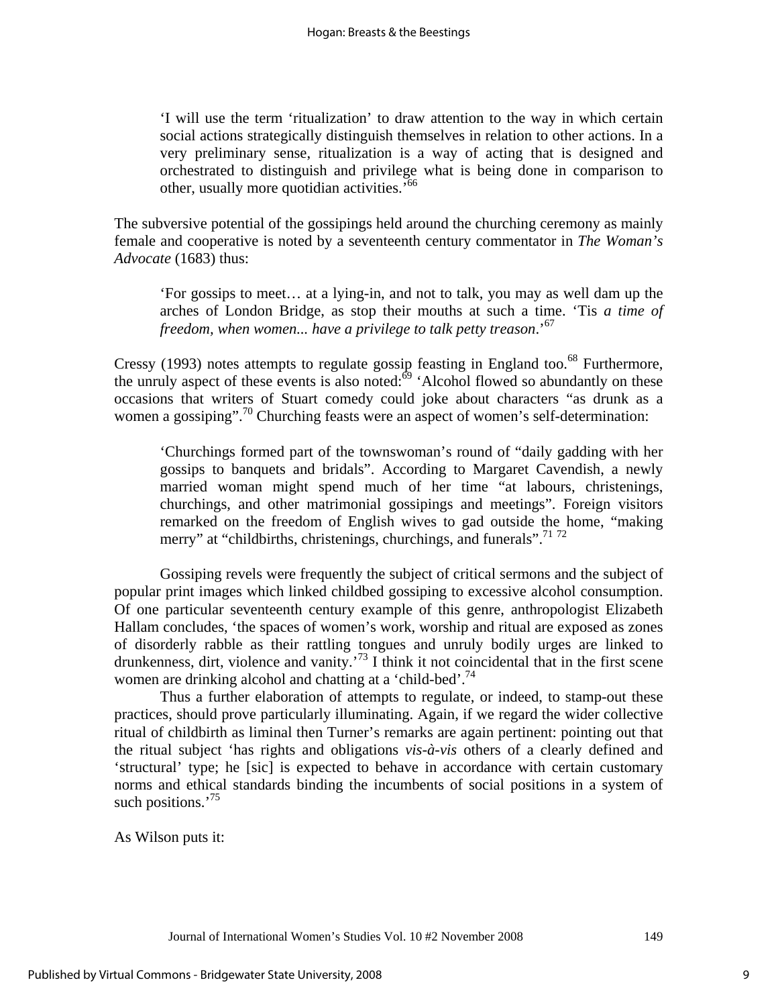'I will use the term 'ritualization' to draw attention to the way in which certain social actions strategically distinguish themselves in relation to other actions. In a very preliminary sense, ritualization is a way of acting that is designed and orchestrated to distinguish and privilege what is being done in comparison to other, usually more quotidian activities.'66

The subversive potential of the gossipings held around the churching ceremony as mainly female and cooperative is noted by a seventeenth century commentator in *The Woman's Advocate* (1683) thus:

'For gossips to meet… at a lying-in, and not to talk, you may as well dam up the arches of London Bridge, as stop their mouths at such a time. 'Tis *a time of freedom, when women... have a privilege to talk petty treason*.'67

Cressy (1993) notes attempts to regulate gossip feasting in England too.<sup>68</sup> Furthermore, the unruly aspect of these events is also noted: $\overset{69}{\circ}$  'Alcohol flowed so abundantly on these occasions that writers of Stuart comedy could joke about characters "as drunk as a women a gossiping".<sup>70</sup> Churching feasts were an aspect of women's self-determination:

'Churchings formed part of the townswoman's round of "daily gadding with her gossips to banquets and bridals". According to Margaret Cavendish, a newly married woman might spend much of her time "at labours, christenings, churchings, and other matrimonial gossipings and meetings". Foreign visitors remarked on the freedom of English wives to gad outside the home, "making merry" at "childbirths, christenings, churchings, and funerals".<sup>71</sup>72

Gossiping revels were frequently the subject of critical sermons and the subject of popular print images which linked childbed gossiping to excessive alcohol consumption. Of one particular seventeenth century example of this genre, anthropologist Elizabeth Hallam concludes, 'the spaces of women's work, worship and ritual are exposed as zones of disorderly rabble as their rattling tongues and unruly bodily urges are linked to drunkenness, dirt, violence and vanity.<sup>73</sup> I think it not coincidental that in the first scene women are drinking alcohol and chatting at a 'child-bed'.<sup>74</sup>

Thus a further elaboration of attempts to regulate, or indeed, to stamp-out these practices, should prove particularly illuminating. Again, if we regard the wider collective ritual of childbirth as liminal then Turner's remarks are again pertinent: pointing out that the ritual subject 'has rights and obligations *vis-à-vis* others of a clearly defined and 'structural' type; he [sic] is expected to behave in accordance with certain customary norms and ethical standards binding the incumbents of social positions in a system of such positions.<sup>'75</sup>

As Wilson puts it: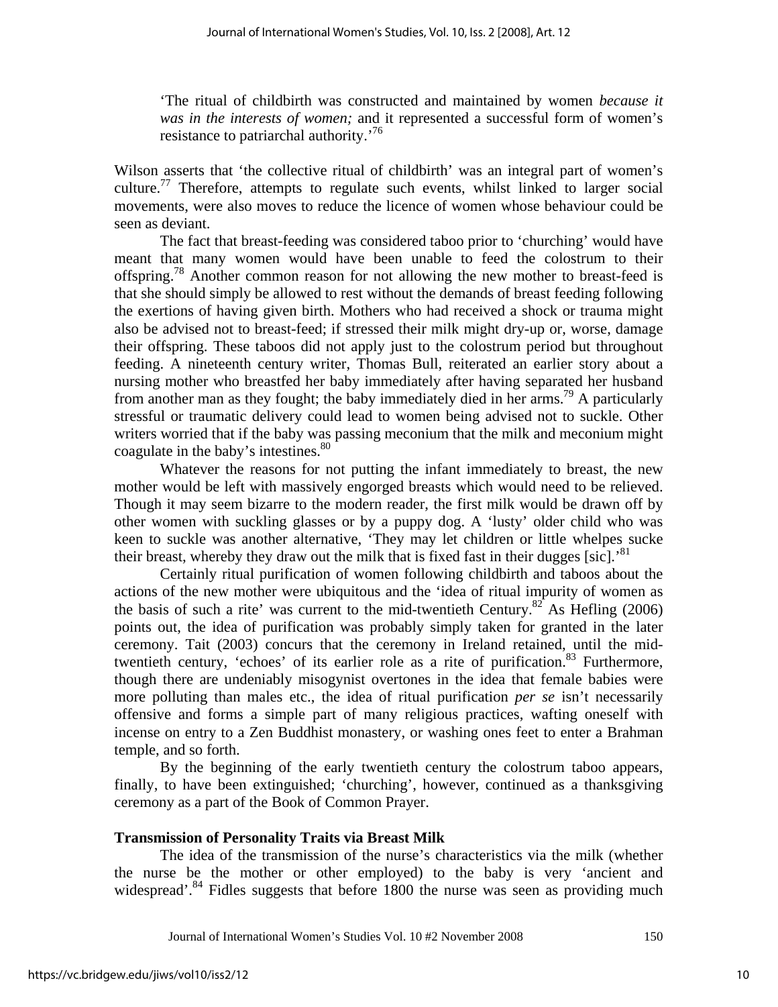'The ritual of childbirth was constructed and maintained by women *because it was in the interests of women;* and it represented a successful form of women's resistance to patriarchal authority.'76

Wilson asserts that 'the collective ritual of childbirth' was an integral part of women's culture.<sup>77</sup> Therefore, attempts to regulate such events, whilst linked to larger social movements, were also moves to reduce the licence of women whose behaviour could be seen as deviant.

The fact that breast-feeding was considered taboo prior to 'churching' would have meant that many women would have been unable to feed the colostrum to their offspring.<sup>78</sup> Another common reason for not allowing the new mother to breast-feed is that she should simply be allowed to rest without the demands of breast feeding following the exertions of having given birth. Mothers who had received a shock or trauma might also be advised not to breast-feed; if stressed their milk might dry-up or, worse, damage their offspring. These taboos did not apply just to the colostrum period but throughout feeding. A nineteenth century writer, Thomas Bull, reiterated an earlier story about a nursing mother who breastfed her baby immediately after having separated her husband from another man as they fought; the baby immediately died in her arms.<sup>79</sup> A particularly stressful or traumatic delivery could lead to women being advised not to suckle. Other writers worried that if the baby was passing meconium that the milk and meconium might coagulate in the baby's intestines.<sup>80</sup>

Whatever the reasons for not putting the infant immediately to breast, the new mother would be left with massively engorged breasts which would need to be relieved. Though it may seem bizarre to the modern reader, the first milk would be drawn off by other women with suckling glasses or by a puppy dog. A 'lusty' older child who was keen to suckle was another alternative, 'They may let children or little whelpes sucke their breast, whereby they draw out the milk that is fixed fast in their dugges [sic].<sup>81</sup>

Certainly ritual purification of women following childbirth and taboos about the actions of the new mother were ubiquitous and the 'idea of ritual impurity of women as the basis of such a rite' was current to the mid-twentieth Century.<sup>82</sup> As Hefling (2006) points out, the idea of purification was probably simply taken for granted in the later ceremony. Tait (2003) concurs that the ceremony in Ireland retained, until the midtwentieth century, 'echoes' of its earlier role as a rite of purification.<sup>83</sup> Furthermore, though there are undeniably misogynist overtones in the idea that female babies were more polluting than males etc., the idea of ritual purification *per se* isn't necessarily offensive and forms a simple part of many religious practices, wafting oneself with incense on entry to a Zen Buddhist monastery, or washing ones feet to enter a Brahman temple, and so forth.

By the beginning of the early twentieth century the colostrum taboo appears, finally, to have been extinguished; 'churching', however, continued as a thanksgiving ceremony as a part of the Book of Common Prayer.

#### **Transmission of Personality Traits via Breast Milk**

The idea of the transmission of the nurse's characteristics via the milk (whether the nurse be the mother or other employed) to the baby is very 'ancient and widespread'.<sup>84</sup> Fidles suggests that before 1800 the nurse was seen as providing much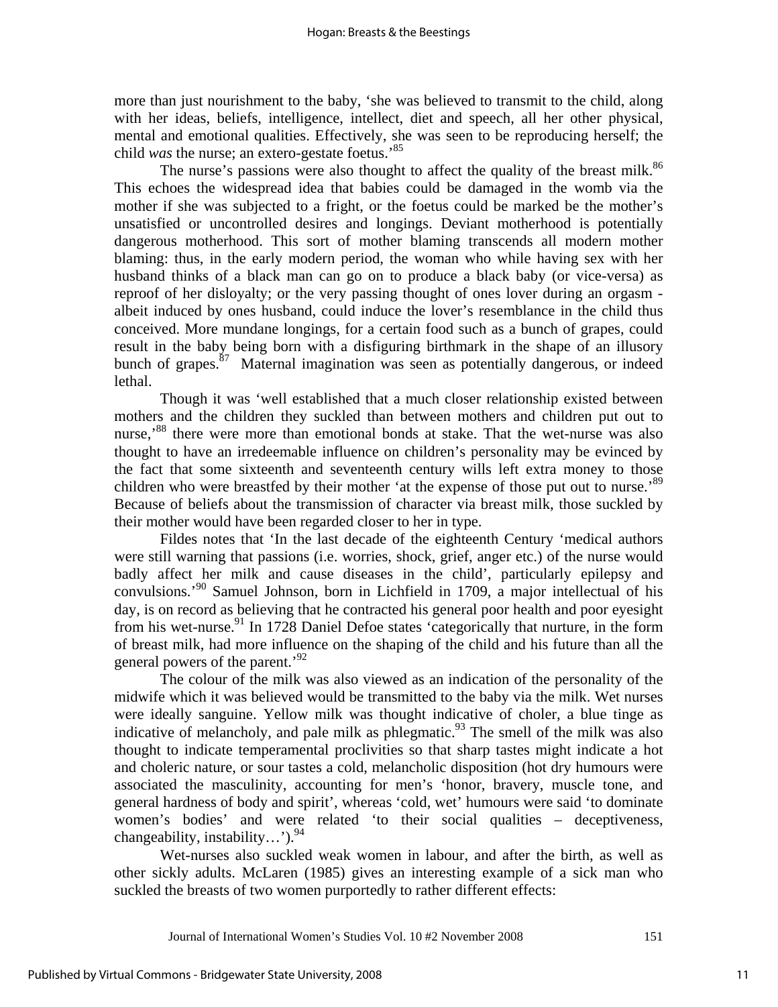more than just nourishment to the baby, 'she was believed to transmit to the child, along with her ideas, beliefs, intelligence, intellect, diet and speech, all her other physical, mental and emotional qualities. Effectively, she was seen to be reproducing herself; the child *was* the nurse; an extero-gestate foetus.'85

The nurse's passions were also thought to affect the quality of the breast milk.<sup>86</sup> This echoes the widespread idea that babies could be damaged in the womb via the mother if she was subjected to a fright, or the foetus could be marked be the mother's unsatisfied or uncontrolled desires and longings. Deviant motherhood is potentially dangerous motherhood. This sort of mother blaming transcends all modern mother blaming: thus, in the early modern period, the woman who while having sex with her husband thinks of a black man can go on to produce a black baby (or vice-versa) as reproof of her disloyalty; or the very passing thought of ones lover during an orgasm albeit induced by ones husband, could induce the lover's resemblance in the child thus conceived. More mundane longings, for a certain food such as a bunch of grapes, could result in the baby being born with a disfiguring birthmark in the shape of an illusory bunch of grapes. $\frac{87}{7}$  Maternal imagination was seen as potentially dangerous, or indeed lethal.

Though it was 'well established that a much closer relationship existed between mothers and the children they suckled than between mothers and children put out to nurse,<sup>88</sup> there were more than emotional bonds at stake. That the wet-nurse was also thought to have an irredeemable influence on children's personality may be evinced by the fact that some sixteenth and seventeenth century wills left extra money to those children who were breastfed by their mother 'at the expense of those put out to nurse.'<sup>89</sup> Because of beliefs about the transmission of character via breast milk, those suckled by their mother would have been regarded closer to her in type.

Fildes notes that 'In the last decade of the eighteenth Century 'medical authors were still warning that passions (i.e. worries, shock, grief, anger etc.) of the nurse would badly affect her milk and cause diseases in the child', particularly epilepsy and convulsions.'90 Samuel Johnson, born in Lichfield in 1709, a major intellectual of his day, is on record as believing that he contracted his general poor health and poor eyesight from his wet-nurse.<sup>91</sup> In 1728 Daniel Defoe states 'categorically that nurture, in the form of breast milk, had more influence on the shaping of the child and his future than all the general powers of the parent.<sup>92</sup>

The colour of the milk was also viewed as an indication of the personality of the midwife which it was believed would be transmitted to the baby via the milk. Wet nurses were ideally sanguine. Yellow milk was thought indicative of choler, a blue tinge as indicative of melancholy, and pale milk as phlegmatic.<sup>93</sup> The smell of the milk was also thought to indicate temperamental proclivities so that sharp tastes might indicate a hot and choleric nature, or sour tastes a cold, melancholic disposition (hot dry humours were associated the masculinity, accounting for men's 'honor, bravery, muscle tone, and general hardness of body and spirit', whereas 'cold, wet' humours were said 'to dominate women's bodies' and were related 'to their social qualities – deceptiveness, changeability, instability...'). $^{94}$ 

Wet-nurses also suckled weak women in labour, and after the birth, as well as other sickly adults. McLaren (1985) gives an interesting example of a sick man who suckled the breasts of two women purportedly to rather different effects: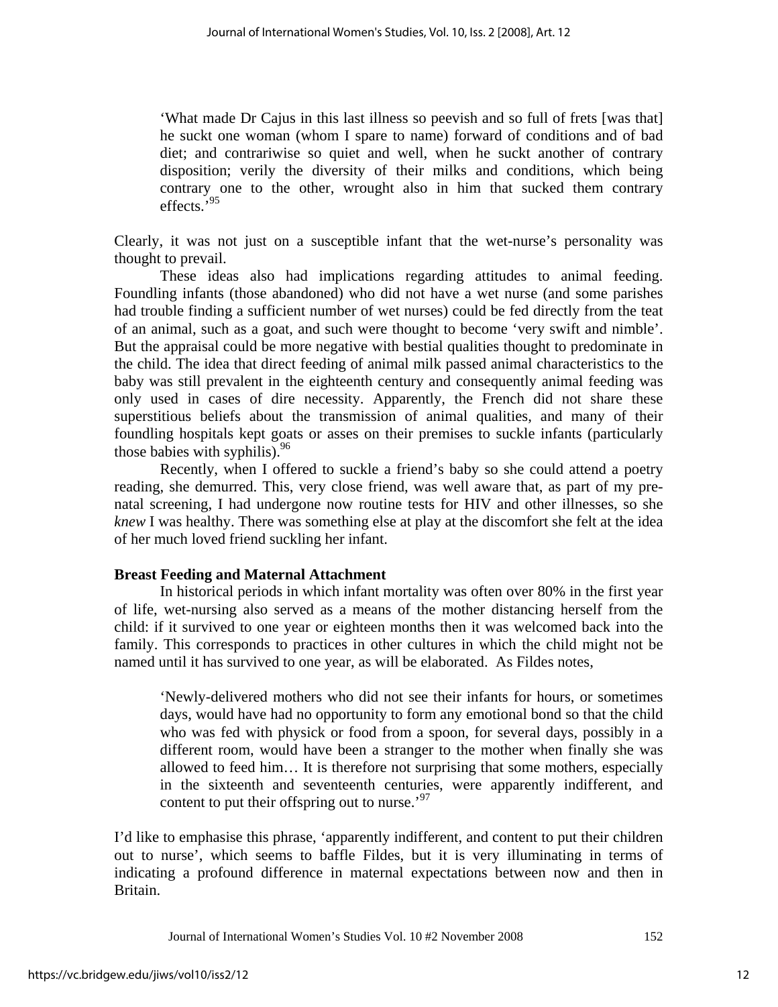'What made Dr Cajus in this last illness so peevish and so full of frets [was that] he suckt one woman (whom I spare to name) forward of conditions and of bad diet; and contrariwise so quiet and well, when he suckt another of contrary disposition; verily the diversity of their milks and conditions, which being contrary one to the other, wrought also in him that sucked them contrary effects.'95

Clearly, it was not just on a susceptible infant that the wet-nurse's personality was thought to prevail.

These ideas also had implications regarding attitudes to animal feeding. Foundling infants (those abandoned) who did not have a wet nurse (and some parishes had trouble finding a sufficient number of wet nurses) could be fed directly from the teat of an animal, such as a goat, and such were thought to become 'very swift and nimble'. But the appraisal could be more negative with bestial qualities thought to predominate in the child. The idea that direct feeding of animal milk passed animal characteristics to the baby was still prevalent in the eighteenth century and consequently animal feeding was only used in cases of dire necessity. Apparently, the French did not share these superstitious beliefs about the transmission of animal qualities, and many of their foundling hospitals kept goats or asses on their premises to suckle infants (particularly those babies with syphilis).<sup>96</sup>

Recently, when I offered to suckle a friend's baby so she could attend a poetry reading, she demurred. This, very close friend, was well aware that, as part of my prenatal screening, I had undergone now routine tests for HIV and other illnesses, so she *knew* I was healthy. There was something else at play at the discomfort she felt at the idea of her much loved friend suckling her infant.

## **Breast Feeding and Maternal Attachment**

In historical periods in which infant mortality was often over 80% in the first year of life, wet-nursing also served as a means of the mother distancing herself from the child: if it survived to one year or eighteen months then it was welcomed back into the family. This corresponds to practices in other cultures in which the child might not be named until it has survived to one year, as will be elaborated. As Fildes notes,

'Newly-delivered mothers who did not see their infants for hours, or sometimes days, would have had no opportunity to form any emotional bond so that the child who was fed with physick or food from a spoon, for several days, possibly in a different room, would have been a stranger to the mother when finally she was allowed to feed him… It is therefore not surprising that some mothers, especially in the sixteenth and seventeenth centuries, were apparently indifferent, and content to put their offspring out to nurse.<sup>97</sup>

I'd like to emphasise this phrase, 'apparently indifferent, and content to put their children out to nurse', which seems to baffle Fildes, but it is very illuminating in terms of indicating a profound difference in maternal expectations between now and then in Britain.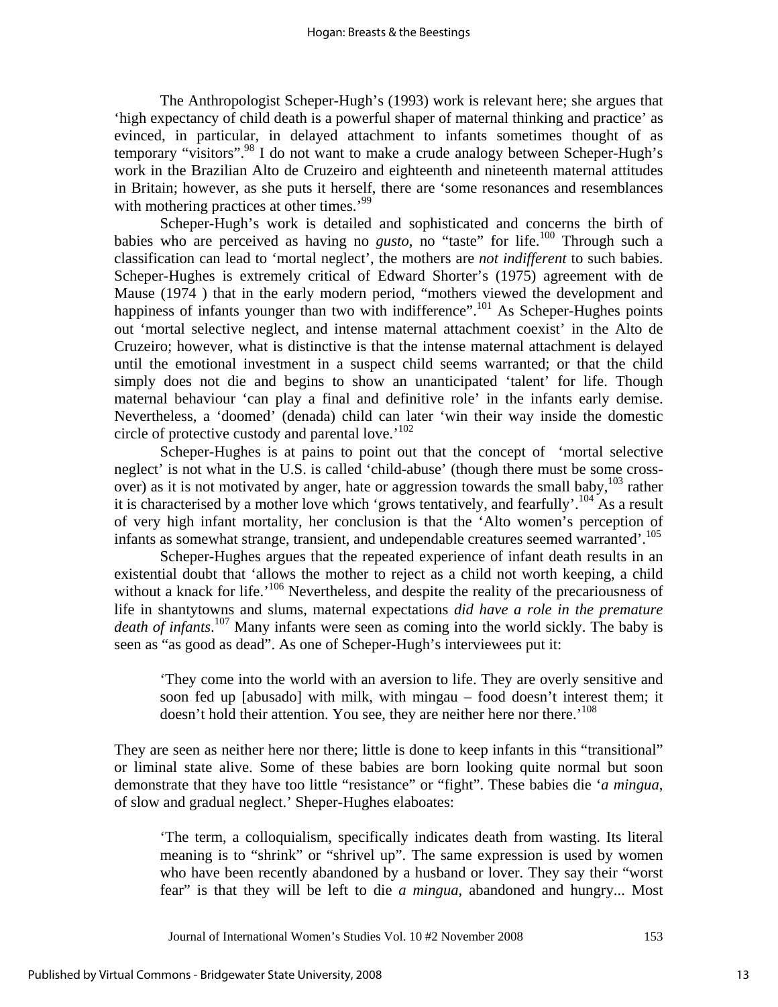The Anthropologist Scheper-Hugh's (1993) work is relevant here; she argues that 'high expectancy of child death is a powerful shaper of maternal thinking and practice' as evinced, in particular, in delayed attachment to infants sometimes thought of as temporary "visitors".<sup>98</sup> I do not want to make a crude analogy between Scheper-Hugh's work in the Brazilian Alto de Cruzeiro and eighteenth and nineteenth maternal attitudes in Britain; however, as she puts it herself, there are 'some resonances and resemblances with mothering practices at other times.<sup>'99</sup>

Scheper-Hugh's work is detailed and sophisticated and concerns the birth of babies who are perceived as having no *gusto*, no "taste" for life.<sup>100</sup> Through such a classification can lead to 'mortal neglect', the mothers are *not indifferent* to such babies. Scheper-Hughes is extremely critical of Edward Shorter's (1975) agreement with de Mause (1974 ) that in the early modern period, "mothers viewed the development and happiness of infants younger than two with indifference".<sup>101</sup> As Scheper-Hughes points out 'mortal selective neglect, and intense maternal attachment coexist' in the Alto de Cruzeiro; however, what is distinctive is that the intense maternal attachment is delayed until the emotional investment in a suspect child seems warranted; or that the child simply does not die and begins to show an unanticipated 'talent' for life. Though maternal behaviour 'can play a final and definitive role' in the infants early demise. Nevertheless, a 'doomed' (denada) child can later 'win their way inside the domestic circle of protective custody and parental love.'<sup>102</sup>

Scheper-Hughes is at pains to point out that the concept of 'mortal selective neglect' is not what in the U.S. is called 'child-abuse' (though there must be some crossover) as it is not motivated by anger, hate or aggression towards the small baby, $103$  rather it is characterised by a mother love which 'grows tentatively, and fearfully'.<sup>104</sup> As a result of very high infant mortality, her conclusion is that the 'Alto women's perception of infants as somewhat strange, transient, and undependable creatures seemed warranted'.<sup>105</sup>

Scheper-Hughes argues that the repeated experience of infant death results in an existential doubt that 'allows the mother to reject as a child not worth keeping, a child without a knack for life.<sup>'106</sup> Nevertheless, and despite the reality of the precariousness of life in shantytowns and slums, maternal expectations *did have a role in the premature death of infants*. 107 Many infants were seen as coming into the world sickly. The baby is seen as "as good as dead". As one of Scheper-Hugh's interviewees put it:

'They come into the world with an aversion to life. They are overly sensitive and soon fed up [abusado] with milk, with mingau – food doesn't interest them; it doesn't hold their attention. You see, they are neither here nor there.'<sup>108</sup>

They are seen as neither here nor there; little is done to keep infants in this "transitional" or liminal state alive. Some of these babies are born looking quite normal but soon demonstrate that they have too little "resistance" or "fight". These babies die '*a mingua*, of slow and gradual neglect.' Sheper-Hughes elaboates:

'The term, a colloquialism, specifically indicates death from wasting. Its literal meaning is to "shrink" or "shrivel up". The same expression is used by women who have been recently abandoned by a husband or lover. They say their "worst fear" is that they will be left to die *a mingua*, abandoned and hungry... Most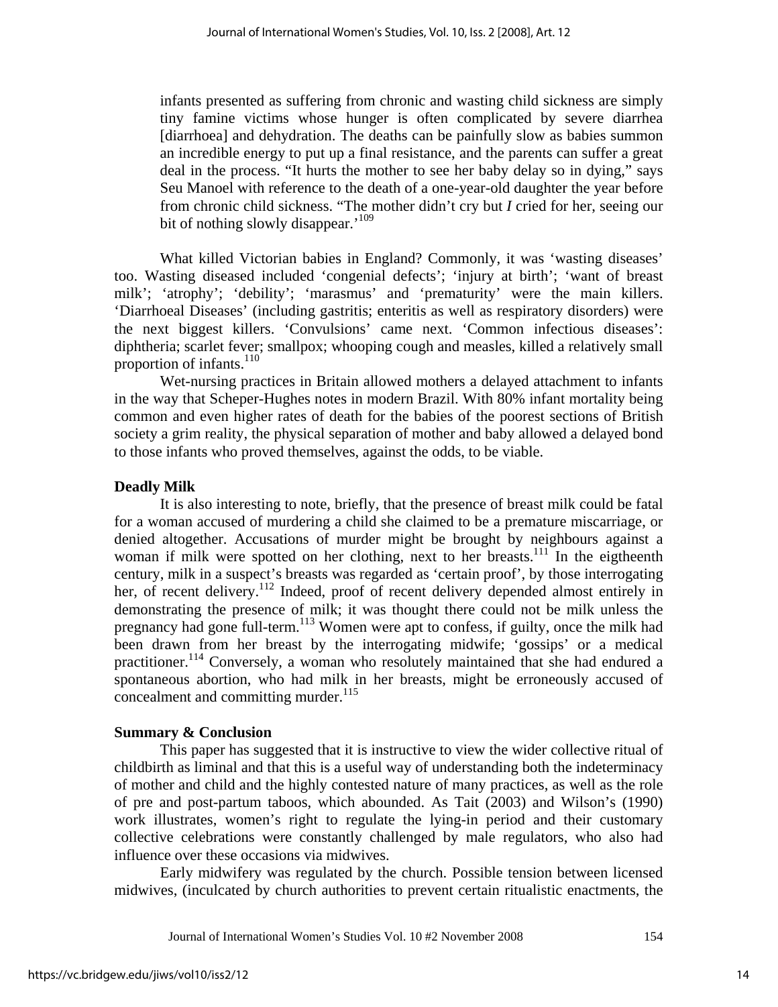infants presented as suffering from chronic and wasting child sickness are simply tiny famine victims whose hunger is often complicated by severe diarrhea [diarrhoea] and dehydration. The deaths can be painfully slow as babies summon an incredible energy to put up a final resistance, and the parents can suffer a great deal in the process. "It hurts the mother to see her baby delay so in dying," says Seu Manoel with reference to the death of a one-year-old daughter the year before from chronic child sickness. "The mother didn't cry but *I* cried for her, seeing our bit of nothing slowly disappear.<sup>'109</sup>

What killed Victorian babies in England? Commonly, it was 'wasting diseases' too. Wasting diseased included 'congenial defects'; 'injury at birth'; 'want of breast milk'; 'atrophy'; 'debility'; 'marasmus' and 'prematurity' were the main killers. 'Diarrhoeal Diseases' (including gastritis; enteritis as well as respiratory disorders) were the next biggest killers. 'Convulsions' came next. 'Common infectious diseases': diphtheria; scarlet fever; smallpox; whooping cough and measles, killed a relatively small proportion of infants.<sup>110</sup>

Wet-nursing practices in Britain allowed mothers a delayed attachment to infants in the way that Scheper-Hughes notes in modern Brazil. With 80% infant mortality being common and even higher rates of death for the babies of the poorest sections of British society a grim reality, the physical separation of mother and baby allowed a delayed bond to those infants who proved themselves, against the odds, to be viable.

#### **Deadly Milk**

It is also interesting to note, briefly, that the presence of breast milk could be fatal for a woman accused of murdering a child she claimed to be a premature miscarriage, or denied altogether. Accusations of murder might be brought by neighbours against a woman if milk were spotted on her clothing, next to her breasts.<sup>111</sup> In the eigtheenth century, milk in a suspect's breasts was regarded as 'certain proof', by those interrogating her, of recent delivery.<sup>112</sup> Indeed, proof of recent delivery depended almost entirely in demonstrating the presence of milk; it was thought there could not be milk unless the pregnancy had gone full-term.<sup>113</sup> Women were apt to confess, if guilty, once the milk had been drawn from her breast by the interrogating midwife; 'gossips' or a medical practitioner.114 Conversely, a woman who resolutely maintained that she had endured a spontaneous abortion, who had milk in her breasts, might be erroneously accused of concealment and committing murder. $^{115}$ 

#### **Summary & Conclusion**

This paper has suggested that it is instructive to view the wider collective ritual of childbirth as liminal and that this is a useful way of understanding both the indeterminacy of mother and child and the highly contested nature of many practices, as well as the role of pre and post-partum taboos, which abounded. As Tait (2003) and Wilson's (1990) work illustrates, women's right to regulate the lying-in period and their customary collective celebrations were constantly challenged by male regulators, who also had influence over these occasions via midwives.

Early midwifery was regulated by the church. Possible tension between licensed midwives, (inculcated by church authorities to prevent certain ritualistic enactments, the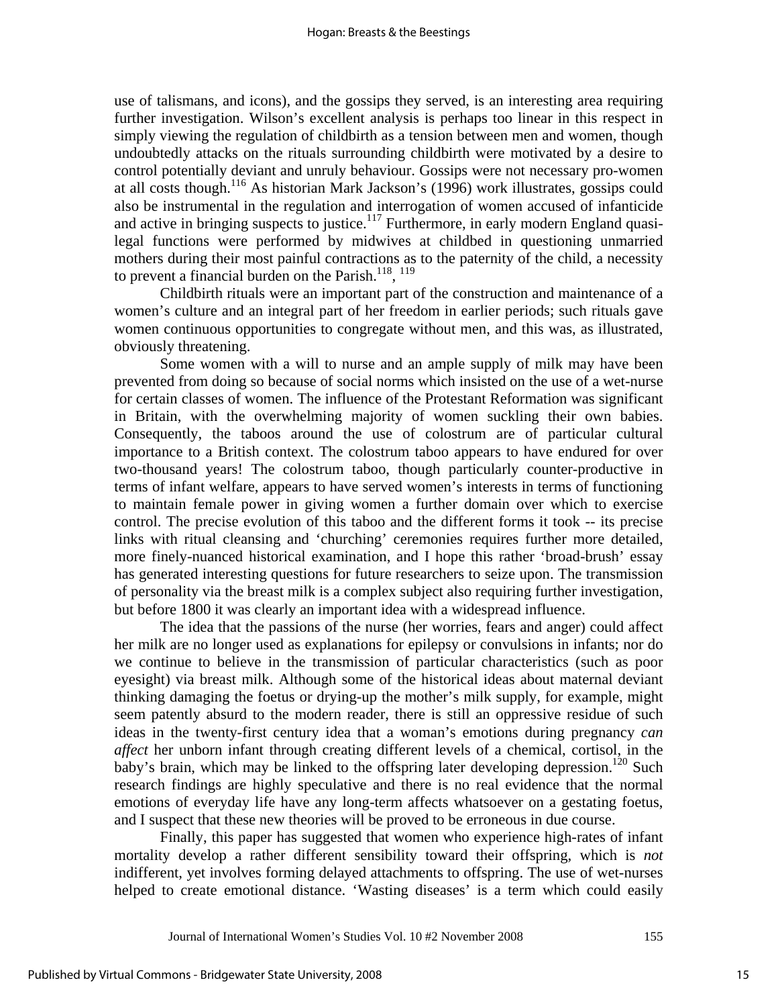use of talismans, and icons), and the gossips they served, is an interesting area requiring further investigation. Wilson's excellent analysis is perhaps too linear in this respect in simply viewing the regulation of childbirth as a tension between men and women, though undoubtedly attacks on the rituals surrounding childbirth were motivated by a desire to control potentially deviant and unruly behaviour. Gossips were not necessary pro-women at all costs though.116 As historian Mark Jackson's (1996) work illustrates, gossips could also be instrumental in the regulation and interrogation of women accused of infanticide and active in bringing suspects to justice.<sup>117</sup> Furthermore, in early modern England quasilegal functions were performed by midwives at childbed in questioning unmarried mothers during their most painful contractions as to the paternity of the child, a necessity to prevent a financial burden on the Parish.<sup>118</sup>, <sup>119</sup>

Childbirth rituals were an important part of the construction and maintenance of a women's culture and an integral part of her freedom in earlier periods; such rituals gave women continuous opportunities to congregate without men, and this was, as illustrated, obviously threatening.

Some women with a will to nurse and an ample supply of milk may have been prevented from doing so because of social norms which insisted on the use of a wet-nurse for certain classes of women. The influence of the Protestant Reformation was significant in Britain, with the overwhelming majority of women suckling their own babies. Consequently, the taboos around the use of colostrum are of particular cultural importance to a British context. The colostrum taboo appears to have endured for over two-thousand years! The colostrum taboo, though particularly counter-productive in terms of infant welfare, appears to have served women's interests in terms of functioning to maintain female power in giving women a further domain over which to exercise control. The precise evolution of this taboo and the different forms it took -- its precise links with ritual cleansing and 'churching' ceremonies requires further more detailed, more finely-nuanced historical examination, and I hope this rather 'broad-brush' essay has generated interesting questions for future researchers to seize upon. The transmission of personality via the breast milk is a complex subject also requiring further investigation, but before 1800 it was clearly an important idea with a widespread influence.

The idea that the passions of the nurse (her worries, fears and anger) could affect her milk are no longer used as explanations for epilepsy or convulsions in infants; nor do we continue to believe in the transmission of particular characteristics (such as poor eyesight) via breast milk. Although some of the historical ideas about maternal deviant thinking damaging the foetus or drying-up the mother's milk supply, for example, might seem patently absurd to the modern reader, there is still an oppressive residue of such ideas in the twenty-first century idea that a woman's emotions during pregnancy *can affect* her unborn infant through creating different levels of a chemical, cortisol, in the baby's brain, which may be linked to the offspring later developing depression.<sup>120</sup> Such research findings are highly speculative and there is no real evidence that the normal emotions of everyday life have any long-term affects whatsoever on a gestating foetus, and I suspect that these new theories will be proved to be erroneous in due course.

Finally, this paper has suggested that women who experience high-rates of infant mortality develop a rather different sensibility toward their offspring, which is *not* indifferent, yet involves forming delayed attachments to offspring. The use of wet-nurses helped to create emotional distance. 'Wasting diseases' is a term which could easily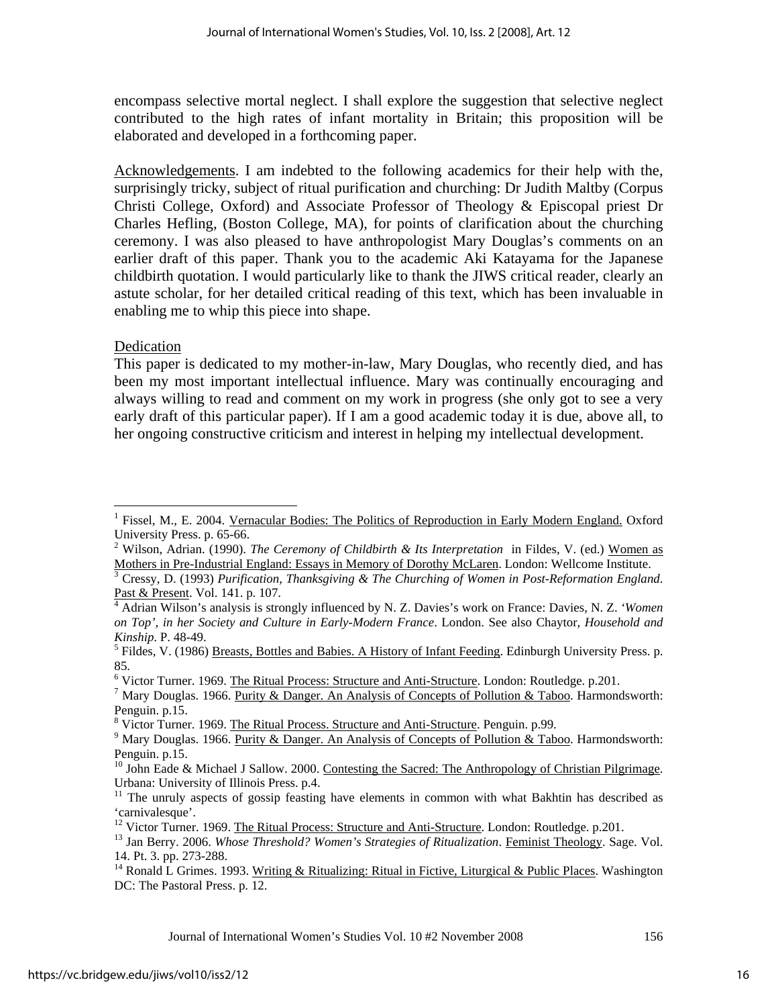encompass selective mortal neglect. I shall explore the suggestion that selective neglect contributed to the high rates of infant mortality in Britain; this proposition will be elaborated and developed in a forthcoming paper.

Acknowledgements. I am indebted to the following academics for their help with the, surprisingly tricky, subject of ritual purification and churching: Dr Judith Maltby (Corpus Christi College, Oxford) and Associate Professor of Theology & Episcopal priest Dr Charles Hefling, (Boston College, MA), for points of clarification about the churching ceremony. I was also pleased to have anthropologist Mary Douglas's comments on an earlier draft of this paper. Thank you to the academic Aki Katayama for the Japanese childbirth quotation. I would particularly like to thank the JIWS critical reader, clearly an astute scholar, for her detailed critical reading of this text, which has been invaluable in enabling me to whip this piece into shape.

### Dedication

This paper is dedicated to my mother-in-law, Mary Douglas, who recently died, and has been my most important intellectual influence. Mary was continually encouraging and always willing to read and comment on my work in progress (she only got to see a very early draft of this particular paper). If I am a good academic today it is due, above all, to her ongoing constructive criticism and interest in helping my intellectual development.

<sup>6</sup> Victor Turner. 1969. <u>The Ritual Process: Structure and Anti-Structure</u>. London: Routledge. p.201.

 $\overline{a}$ 1 Fissel, M., E. 2004. Vernacular Bodies: The Politics of Reproduction in Early Modern England. Oxford University Press. p. 65-66.

<sup>&</sup>lt;sup>2</sup> Wilson, Adrian. (1990). *The Ceremony of Childbirth & Its Interpretation* in Fildes, V. (ed.) Women as Mothers in Pre-Industrial England: Essays in Memory of Dorothy McLaren. London: Wellcome Institute. 3

Cressy, D. (1993) *Purification, Thanksgiving & The Churching of Women in Post-Reformation England*. Past & Present. Vol. 141. p. 107.

<sup>&</sup>lt;sup>4</sup> Adrian Wilson's analysis is strongly influenced by N. Z. Davies's work on France: Davies, N. Z. *'Women on Top', in her Society and Culture in Early-Modern France*. London. See also Chaytor, *Household and Kinship*. P. 48-49. 5

<sup>&</sup>lt;sup>5</sup> Fildes, V. (1986) Breasts, Bottles and Babies. A History of Infant Feeding. Edinburgh University Press. p. 85.

<sup>&</sup>lt;sup>7</sup> Mary Douglas. 1966. <u>Purity & Danger. An Analysis of Concepts of Pollution & Taboo</u>. Harmondsworth: Penguin. p.15.

<sup>&</sup>lt;sup>8</sup> Victor Turner. 1969. <u>The Ritual Process. Structure and Anti-Structure</u>. Penguin. p.99.<br><sup>9</sup> Mary Davelse, 1966. Durity & Danger, An Apelysis of Congents of Pollution. & Teb

<sup>&</sup>lt;sup>9</sup> Mary Douglas. 1966. Purity & Danger. An Analysis of Concepts of Pollution & Taboo. Harmondsworth: Penguin. p.15.

<sup>&</sup>lt;sup>10</sup> John Eade & Michael J Sallow. 2000. Contesting the Sacred: The Anthropology of Christian Pilgrimage. Urbana: University of Illinois Press. p.4.

<sup>&</sup>lt;sup>11</sup> The unruly aspects of gossip feasting have elements in common with what Bakhtin has described as 'carnivalesque'.<br><sup>12</sup> Victor Turner. 1969. <u>The Ritual Process: Structure and Anti-Structure</u>. London: Routledge. p.201.

<sup>&</sup>lt;sup>13</sup> Jan Berry. 2006. Whose Threshold? Women's Strategies of Ritualization. Feminist Theology. Sage. Vol. 14. Pt. 3. pp. 273-288.

<sup>&</sup>lt;sup>14</sup> Ronald L Grimes. 1993. Writing & Ritualizing: Ritual in Fictive, Liturgical & Public Places. Washington DC: The Pastoral Press. p. 12.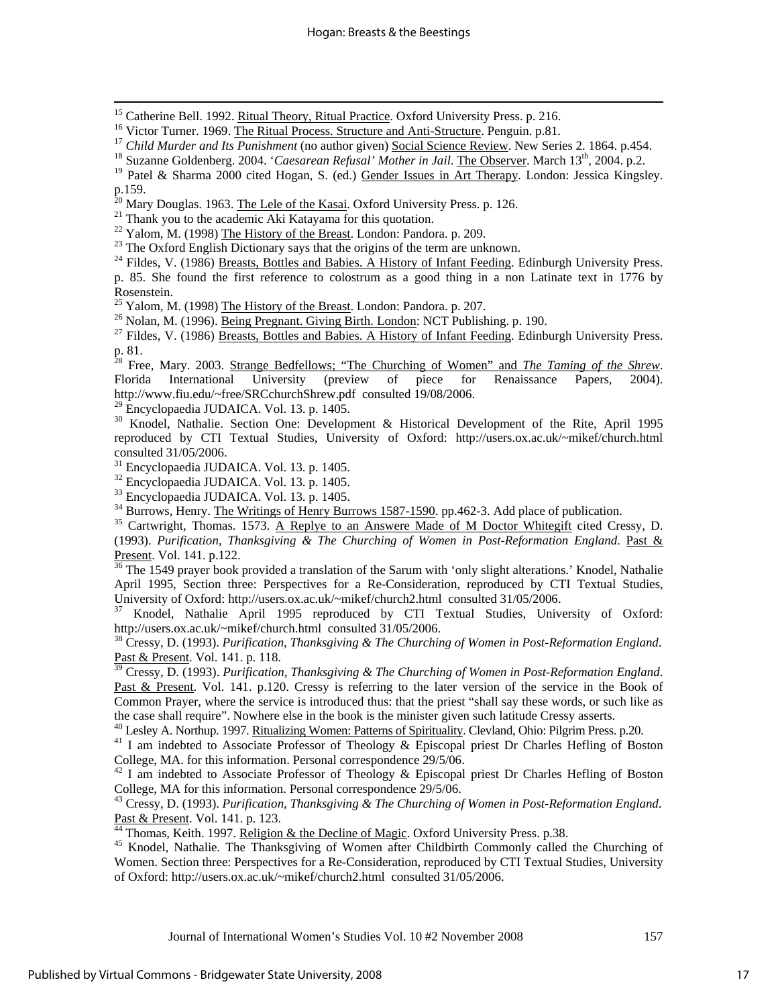<sup>15</sup> Catherine Bell. 1992. <u>Ritual Theory, Ritual Practice</u>. Oxford University Press. p. 216.<br><sup>16</sup> Victor Turner. 1969. <u>The Ritual Process. Structure and Anti-Structure</u>. Penguin. p.81.<br><sup>17</sup> Child Murder and Its Punishme

<sup>19</sup> Patel & Sharma 2000 cited Hogan, S. (ed.) Gender Issues in Art Therapy. London: Jessica Kingsley. p.159.<br><sup>20</sup> Mary Douglas. 1963. The Lele of the Kasai. Oxford University Press. p. 126.

<sup>21</sup> Thank you to the academic Aki Katayama for this quotation.<br><sup>22</sup> Yalom, M. (1998) The History of the Breast. London: Pandora. p. 209.

 $^{23}$  The Oxford English Dictionary says that the origins of the term are unknown.

<sup>24</sup> Fildes, V. (1986) Breasts, Bottles and Babies. A History of Infant Feeding. Edinburgh University Press. p. 85. She found the first reference to colostrum as a good thing in a non Latinate text in 1776 by

Rosenstein.<br><sup>25</sup> Yalom, M. (1998) The History of the Breast. London: Pandora. p. 207.

<sup>26</sup> Nolan, M. (1996). **Being Pregnant. Giving Birth. London: NCT Publishing. p. 190.**<br><sup>27</sup> Fildes, V. (1986) Breasts, Bottles and Babies. A History of Infant Feeding. Edinburgh University Press. p. 81.

28 Free, Mary. 2003. Strange Bedfellows; "The Churching of Women" and *The Taming of the Shrew*. Florida International University (preview of piece for Renaissance Papers, 2004). http://www.fiu.edu/~free/SRCchurchShrew.pdf consulted 19/08/2006.<br><sup>29</sup> Encyclopaedia JUDAICA. Vol. 13. p. 1405.

<sup>30</sup> Knodel, Nathalie. Section One: Development & Historical Development of the Rite, April 1995 reproduced by CTI Textual Studies, University of Oxford: http://users.ox.ac.uk/~mikef/church.html consulted 31/05/2006.

<sup>31</sup> Encyclopaedia JUDAICA. Vol. 13. p. 1405.<br><sup>32</sup> Encyclopaedia JUDAICA. Vol. 13. p. 1405.<br><sup>33</sup> Encyclopaedia JUDAICA. Vol. 13. p. 1405.<br><sup>34</sup> Burrows, Henry. <u>The Writings of Henry Burrows 1587-1590</u>. pp.462-3. Add place

(1993). *Purification, Thanksgiving & The Churching of Women in Post-Reformation England*. Past &

Present. Vol. 141. p.122.<br><sup>36</sup> The 1549 prayer book provided a translation of the Sarum with 'only slight alterations.' Knodel, Nathalie April 1995, Section three: Perspectives for a Re-Consideration, reproduced by CTI Textual Studies, University of Oxford: http://users.ox.ac.uk/~mikef/church2.html consulted 31/05/2006.

Knodel, Nathalie April 1995 reproduced by CTI Textual Studies, University of Oxford: http://users.ox.ac.uk/~mikef/church.html consulted 31/05/2006.

38 Cressy, D. (1993). *Purification, Thanksgiving & The Churching of Women in Post-Reformation England*. Past & Present. Vol. 141. p. 118.

39 Cressy, D. (1993). *Purification, Thanksgiving & The Churching of Women in Post-Reformation England*. Past & Present. Vol. 141. p.120. Cressy is referring to the later version of the service in the Book of Common Prayer, where the service is introduced thus: that the priest "shall say these words, or such like as

the case shall require". Nowhere else in the book is the minister given such latitude Cressy asserts.<br><sup>40</sup> Lesley A. Northup. 1997. <u>Ritualizing Women: Patterns of Spirituality</u>. Clevland, Ohio: Pilgrim Press. p.20.<br><sup>41</sup> I College, MA. for this information. Personal correspondence 29/5/06.

<sup>42</sup> I am indebted to Associate Professor of Theology & Episcopal priest Dr Charles Hefling of Boston College, MA for this information. Personal correspondence 29/5/06.

43 Cressy, D. (1993). *Purification, Thanksgiving & The Churching of Women in Post-Reformation England*. Past & Present. Vol. 141. p. 123.<br><sup>44</sup> Thomas, Keith. 1997. <u>Religion & the Decline of Magic</u>. Oxford University Press. p.38.<br><sup>45</sup> Knodel, Nathalie. The Thanksgiving of Women after Childbirth Commonly called the Churching

Women. Section three: Perspectives for a Re-Consideration, reproduced by CTI Textual Studies, University of Oxford: http://users.ox.ac.uk/~mikef/church2.html consulted 31/05/2006.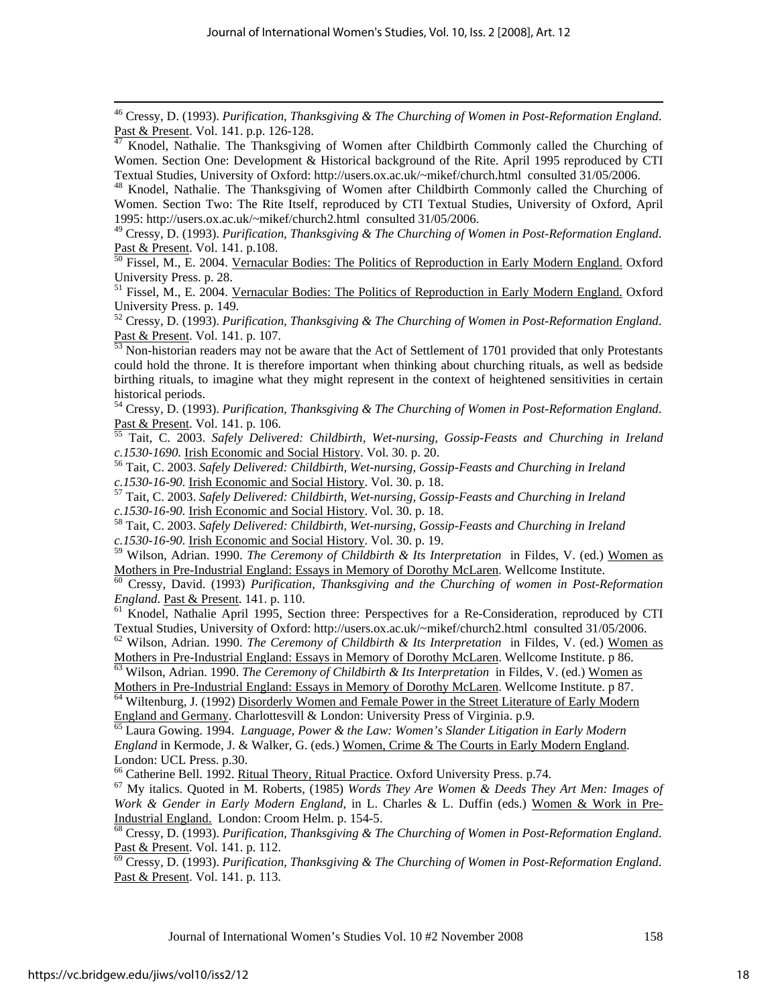<sup>46</sup> Cressy, D. (1993). *Purification, Thanksgiving & The Churching of Women in Post-Reformation England.*<br>
<u>Past & Present</u>. Vol. 141. p.p. 126-128.<br>
<sup>47</sup> Knodel Nathalie. The Thanksgiving of Women after Childhirth Commo

<sup>48</sup> Knodel, Nathalie. The Thanksgiving of Women after Childbirth Commonly called the Churching of Women. Section Two: The Rite Itself, reproduced by CTI Textual Studies, University of Oxford, April 1995: http://users.ox.ac.uk/~mikef/church2.html consulted 31/05/2006.

49 Cressy, D. (1993). *Purification, Thanksgiving & The Churching of Women in Post-Reformation England*. Past & Present. Vol. 141. p.108.<br><sup>50</sup> Fissel, M., E. 2004. <u>Vernacular Bodies: The Politics of Reproduction in Early Modern England.</u> Oxford

University Press. p. 28.

<sup>51</sup> Fissel, M., E. 2004. Vernacular Bodies: The Politics of Reproduction in Early Modern England. Oxford University Press. p. 149.

52 Cressy, D. (1993). *Purification, Thanksgiving & The Churching of Women in Post-Reformation England*.

Non-historian readers may not be aware that the Act of Settlement of 1701 provided that only Protestants could hold the throne. It is therefore important when thinking about churching rituals, as well as bedside birthing rituals, to imagine what they might represent in the context of heightened sensitivities in certain historical periods.

<sup>54</sup> Cressy, D. (1993). *Purification, Thanksgiving & The Churching of Women in Post-Reformation England.*<br>Past & Present. Vol. 141. p. 106.<br><sup>55</sup> Tait C. 2003, Safak: Dalisson L. Chinan provision of the company of the com

Tait, C. 2003. Safely Delivered: Childbirth, Wet-nursing, Gossip-Feasts and Churching in Ireland

*c.1530-1690.* Irish Economic and Social History. Vol. 30. p. 20.<br><sup>56</sup> Tait, C. 2003. *Safely Delivered: Childbirth, Wet-nursing, Gossip-Feasts and Churching in Ireland c.1530-16-90.* Irish Economic and Social History. V

<sup>57</sup> Tait, C. 2003. *Safely Delivered: Childbirth, Wet-nursing, Gossip-Feasts and Churching in Ireland c.1530-16-90.* **Irish Economic and Social History**. Vol. 30. p. 18.<br><sup>58</sup> Tait, C. 2003. *Safely Delivered: Childbirth, Wet-nursing, Gossip-Feasts and Churching in Ireland* 

*c.1530-16-90.* Irish Economic and Social History. Vol. 30. p. 19.

59 Wilson, Adrian. 1990. *The Ceremony of Childbirth & Its Interpretation* in Fildes, V. (ed.) Women as Mothers in Pre-Industrial England: Essays in Memory of Dorothy McLaren. Wellcome Institute. 60 Cressy, David. (1993) *Purification, Thanksgiving and the Churching of women in Post-Reformation* 

*England*. Past & Present. 141. p. 110.<br><sup>61</sup> Knodel, Nathalie April 1995, Section three: Perspectives for a Re-Consideration, reproduced by CTI

Textual Studies, University of Oxford: http://users.ox.ac.uk/~mikef/church2.html consulted 31/05/2006.

<sup>62</sup> Wilson, Adrian. 1990. *The Ceremony of Childbirth & Its Interpretation* in Fildes, V. (ed.) <u>Women as</u> Mothers in Pre-Industrial England: Essays in Memory of Dorothy McLaren. Wellcome Institute. p 86.

<sup>63</sup> Wilson, Adrian. 1990. The Ceremony of Childbirth & Its Interpretation in Fildes, V. (ed.) Women as Mothers in Pre-Industrial England: Essays in Memory of Dorothy McLaren. Wellcome Institute. p 87.<br><sup>64</sup> Wiltenburg, J. (1992) <u>Disorderly Women and Female Power in the Street Literature of Early Modern</u>

England and Germany. Charlottesvill & London: University Press of Virginia. p.9. 65 Laura Gowing. 1994. *Language, Power & the Law: Women's Slander Litigation in Early Modern* 

*England* in Kermode, J. & Walker, G. (eds.) Women, Crime & The Courts in Early Modern England. London: UCL Press. p.30.

<sup>66</sup> Catherine Bell. 1992. <u>Ritual Theory, Ritual Practice</u>. Oxford University Press. p.74.<br><sup>67</sup> My italics. Quoted in M. Roberts, (1985) *Words They Are Women & Deeds They Art Men: Images of Work & Gender in Early Modern England,* in L. Charles & L. Duffin (eds.) Women & Work in Pre-Industrial England. London: Croom Helm. p. 154-5. 68 Cressy, D. (1993). *Purification, Thanksgiving & The Churching of Women in Post-Reformation England*.

Past & Present. Vol. 141. p. 112.<br><sup>69</sup> Cressy, D. (1993). *Purification, Thanksgiving & The Churching of Women in Post-Reformation England.* 

Past & Present. Vol. 141. p. 113.

Knodel, Nathalie. The Thanksgiving of Women after Childbirth Commonly called the Churching of Women. Section One: Development & Historical background of the Rite. April 1995 reproduced by CTI<br>Textual Studies, University of Oxford: http://users.ox.ac.uk/~mikef/church.html consulted 31/05/2006.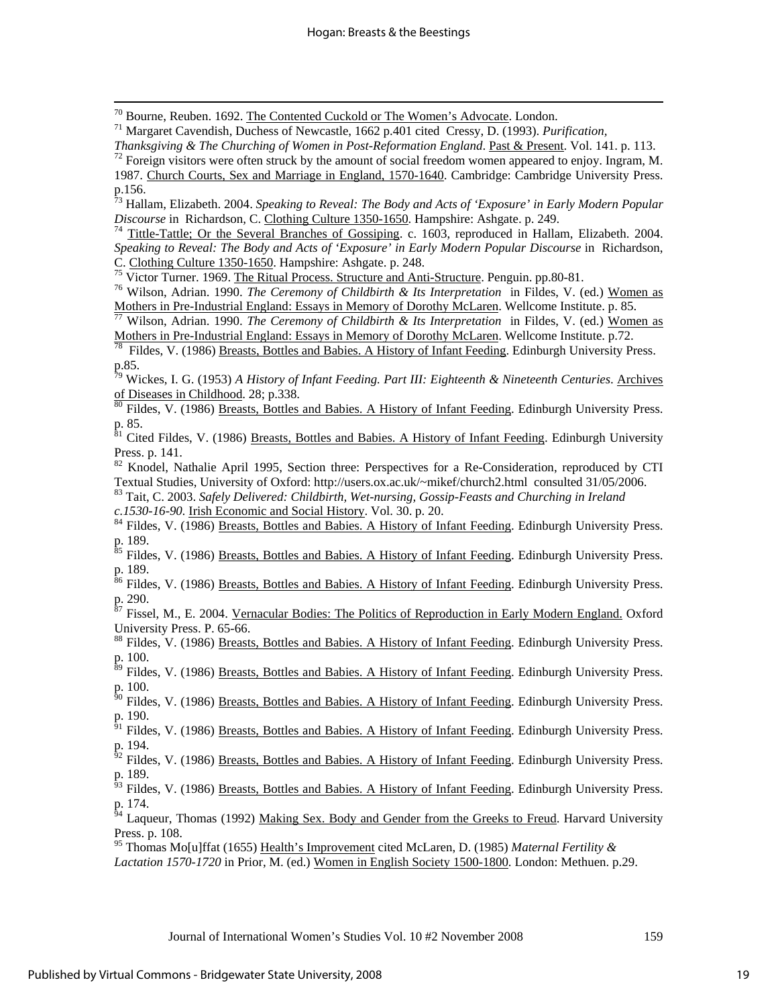70 Bourne, Reuben. 1692. The Contented Cuckold or The Women's Advocate. London. 71 Margaret Cavendish, Duchess of Newcastle, 1662 p.401 cited Cressy, D. (1993). *Purification,* 

*Thanksgiving & The Churching of Women in Post-Reformation England*. <u>Past & Present</u>. Vol. 141. p. 113.<br><sup>72</sup> Foreign visitors were often struck by the amount of social freedom women appeared to enjoy. Ingram, M.

73 Hallam, Elizabeth. 2004. *Speaking to Reveal: The Body and Acts of 'Exposure' in Early Modern Popular Discourse* in Richardson, C. Clothing Culture 1350-1650. Hampshire: Ashgate. p. 249.<br><sup>74</sup> Tittle-Tattle; Or the Several Branches of Gossiping. c. 1603, reproduced in Hallam, Elizabeth. 2004.

*Speaking to Reveal: The Body and Acts of 'Exposure' in Early Modern Popular Discourse* in Richardson,

C. Clothing Culture 1350-1650. Hampshire: Ashgate. p. 248.<br><sup>75</sup> Victor Turner. 1969. <u>The Ritual Process. Structure and Anti-Structure</u>. Penguin. pp.80-81.<br><sup>76</sup> Wilson, Adrian. 1990. *The Ceremony of Childbirth & Its Inter* 

<sup>77</sup> Wilson, Adrian. 1990. The Ceremony of Childbirth & Its Interpretation in Fildes, V. (ed.) Women as Mothers in Pre-Industrial England: Essays in Memory of Dorothy McLaren. Wellcome Institute. p.72.<br><sup>78</sup> Fildes, V. (1986) Breasts, Bottles and Babies. A History of Infant Feeding. Edinburgh University Press.

p.85.

79 Wickes, I. G. (1953) *A History of Infant Feeding. Part III: Eighteenth & Nineteenth Centuries*. Archives of Diseases in Childhood. 28; p.338.<br><sup>80</sup> Fildes, V. (1986) <u>Breasts, Bottles and Babies. A History of Infant Feeding</u>. Edinburgh University Press.

p. 85.

<sup>81</sup> Cited Fildes, V. (1986) <u>Breasts, Bottles and Babies. A History of Infant Feeding</u>. Edinburgh University Press. p. 141.

 $82$  Knodel, Nathalie April 1995, Section three: Perspectives for a Re-Consideration, reproduced by CTI Textual Studies, University of Oxford: http://users.ox.ac.uk/~mikef/church2.html consulted 31/05/2006.

83 Tait, C. 2003. *Safely Delivered: Childbirth, Wet-nursing, Gossip-Feasts and Churching in Ireland* 

*c.1530-16-90.* Irish Economic and Social History. Vol. 30. p. 20. 84 Fildes, V. (1986) Breasts, Bottles and Babies. A History of Infant Feeding. Edinburgh University Press. p. 189.

<sup>85</sup> Fildes, V. (1986) Breasts, Bottles and Babies. A History of Infant Feeding. Edinburgh University Press. p. 189.

<sup>86</sup> Fildes, V. (1986) Breasts, Bottles and Babies. A History of Infant Feeding. Edinburgh University Press.  $p. 290.$ 

87 Fissel, M., E. 2004. Vernacular Bodies: The Politics of Reproduction in Early Modern England. Oxford University Press. P. 65-66.

<sup>88</sup> Fildes, V. (1986) Breasts, Bottles and Babies. A History of Infant Feeding. Edinburgh University Press. p. 100.

89 Fildes, V. (1986) Breasts, Bottles and Babies. A History of Infant Feeding. Edinburgh University Press. p. 100.

<sup>90</sup> Fildes, V. (1986) <u>Breasts, Bottles and Babies. A History of Infant Feeding</u>. Edinburgh University Press. p. 190.

<sup>91</sup> Fildes, V. (1986) Breasts, Bottles and Babies. A History of Infant Feeding. Edinburgh University Press. p. 194.

 $^{62}$  Fildes, V. (1986) Breasts, Bottles and Babies. A History of Infant Feeding. Edinburgh University Press. p. 189. p. 189.<br><sup>93</sup> Fildes, V. (1986) Breasts, Bottles and Babies. A History of Infant Feeding. Edinburgh University Press.

p. 174.

<sup>34</sup> Laqueur, Thomas (1992) Making Sex. Body and Gender from the Greeks to Freud. Harvard University Press. p. 108.

95 Thomas Mo[u]ffat (1655) Health's Improvement cited McLaren, D. (1985) *Maternal Fertility &* 

*Lactation 1570-1720* in Prior, M. (ed.) Women in English Society 1500-1800. London: Methuen. p.29.

<sup>1987.</sup> Church Courts, Sex and Marriage in England, 1570-1640. Cambridge: Cambridge University Press. p.156.